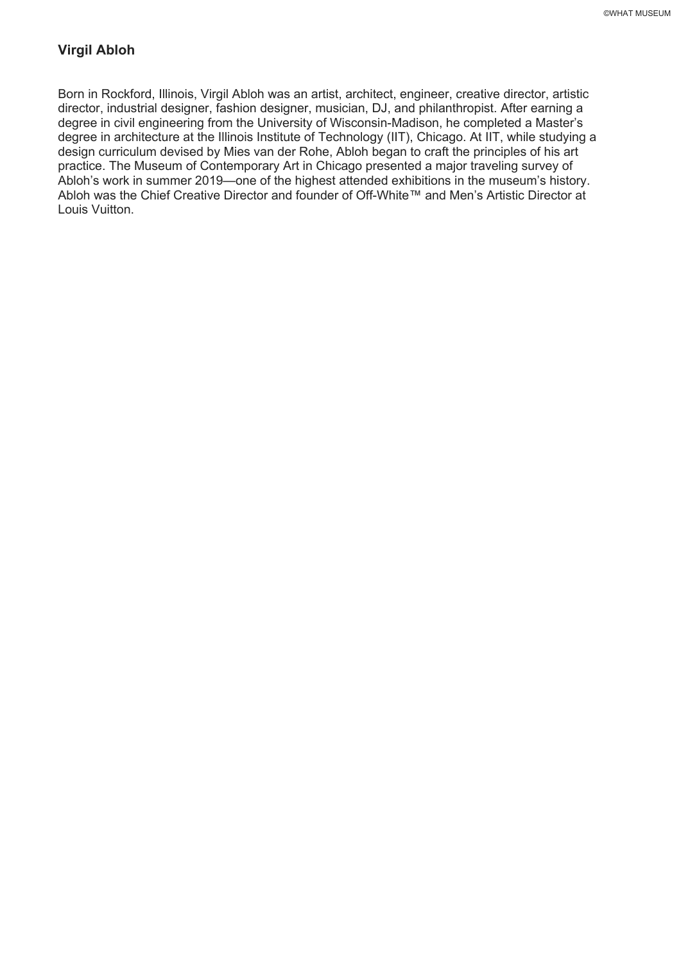# **Virgil Abloh**

Born in Rockford, Illinois, Virgil Abloh was an artist, architect, engineer, creative director, artistic director, industrial designer, fashion designer, musician, DJ, and philanthropist. After earning a degree in civil engineering from the University of Wisconsin-Madison, he completed a Master's degree in architecture at the Illinois Institute of Technology (IIT), Chicago. At IIT, while studying a design curriculum devised by Mies van der Rohe, Abloh began to craft the principles of his art practice. The Museum of Contemporary Art in Chicago presented a major traveling survey of Abloh's work in summer 2019—one of the highest attended exhibitions in the museum's history. Abloh was the Chief Creative Director and founder of Off-White™ and Men's Artistic Director at Louis Vuitton.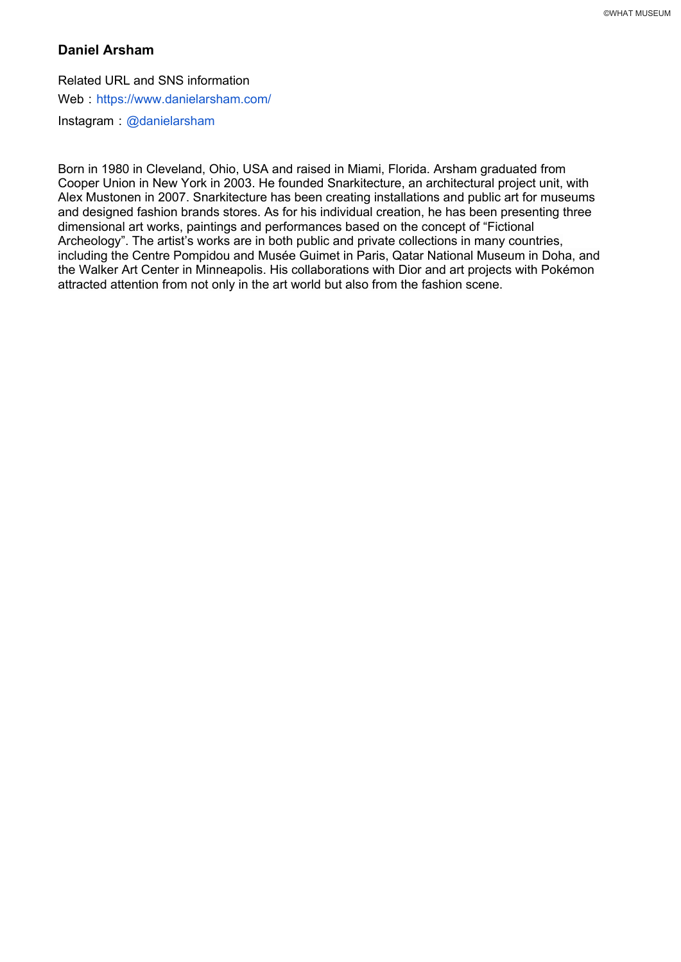## **Daniel Arsham**

Related URL and SNS information Web : https://www.danielarsham.com/  $Instanta$   $\omega$  danielarsham

Born in 1980 in Cleveland, Ohio, USA and raised in Miami, Florida. Arsham graduated from Cooper Union in New York in 2003. He founded Snarkitecture, an architectural project unit, with Alex Mustonen in 2007. Snarkitecture has been creating installations and public art for museums and designed fashion brands stores. As for his individual creation, he has been presenting three dimensional art works, paintings and performances based on the concept of "Fictional Archeology". The artist's works are in both public and private collections in many countries, including the Centre Pompidou and Musée Guimet in Paris, Qatar National Museum in Doha, and the Walker Art Center in Minneapolis. His collaborations with Dior and art projects with Pokémon attracted attention from not only in the art world but also from the fashion scene.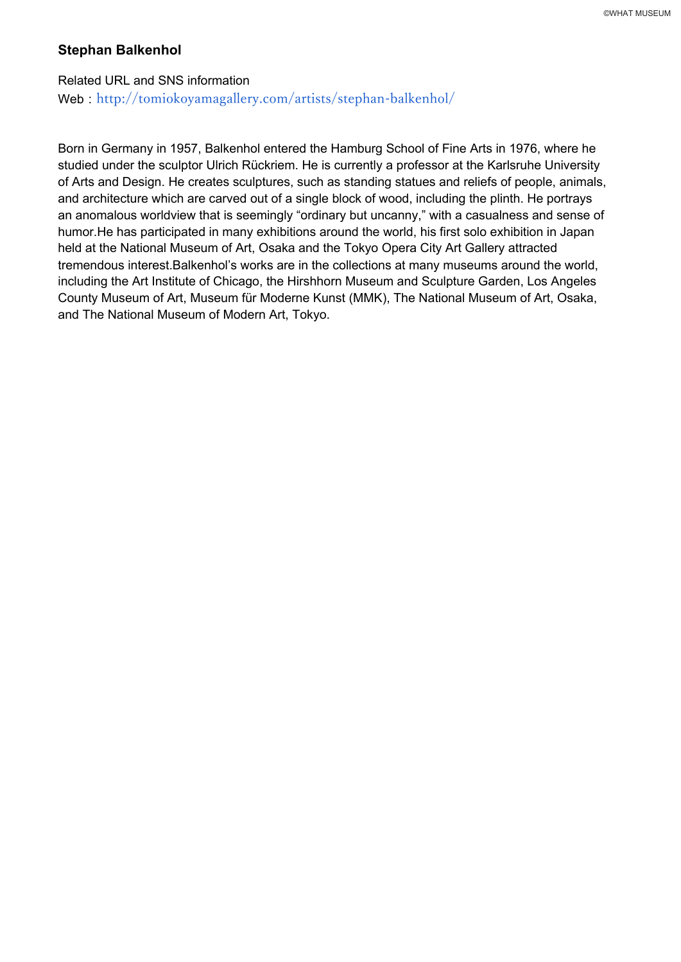#### **Stephan Balkenhol**

Related URL and SNS information Web: http://tomiokoyamagallery.com/artists/stephan-balkenhol/

Born in Germany in 1957, Balkenhol entered the Hamburg School of Fine Arts in 1976, where he studied under the sculptor Ulrich Rückriem. He is currently a professor at the Karlsruhe University of Arts and Design. He creates sculptures, such as standing statues and reliefs of people, animals, and architecture which are carved out of a single block of wood, including the plinth. He portrays an anomalous worldview that is seemingly "ordinary but uncanny," with a casualness and sense of humor.He has participated in many exhibitions around the world, his first solo exhibition in Japan held at the National Museum of Art, Osaka and the Tokyo Opera City Art Gallery attracted tremendous interest.Balkenhol's works are in the collections at many museums around the world, including the Art Institute of Chicago, the Hirshhorn Museum and Sculpture Garden, Los Angeles County Museum of Art, Museum für Moderne Kunst (MMK), The National Museum of Art, Osaka, and The National Museum of Modern Art, Tokyo.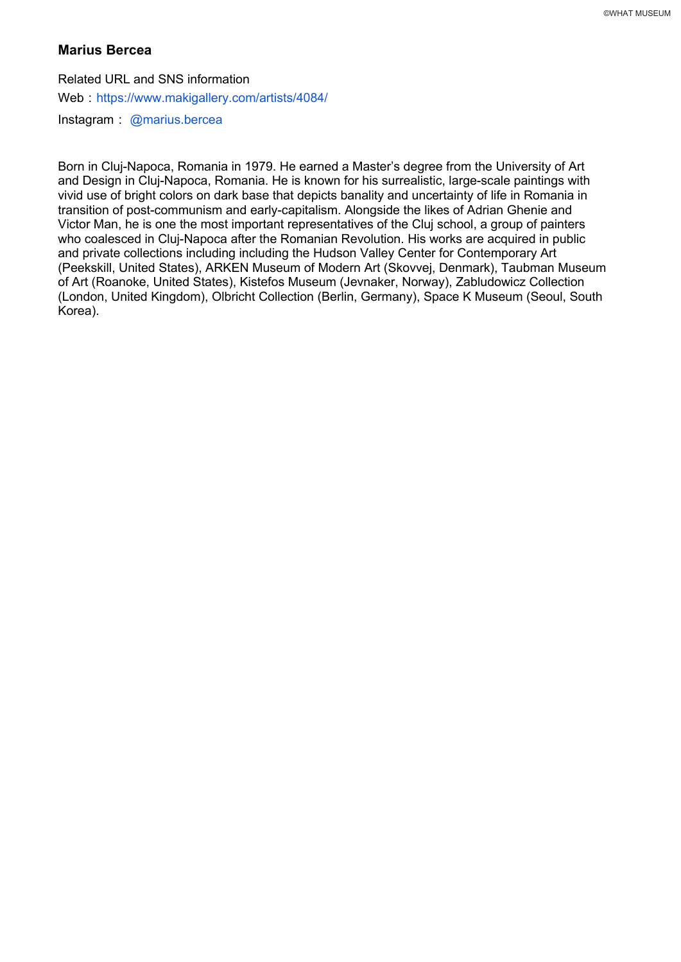### **Marius Bercea**

Related URL and SNS information Web: https://www.makigallery.com/artists/4084/  $Instant$  @marius.bercea

Born in Cluj-Napoca, Romania in 1979. He earned a Master's degree from the University of Art and Design in Cluj-Napoca, Romania. He is known for his surrealistic, large-scale paintings with vivid use of bright colors on dark base that depicts banality and uncertainty of life in Romania in transition of post-communism and early-capitalism. Alongside the likes of Adrian Ghenie and Victor Man, he is one the most important representatives of the Cluj school, a group of painters who coalesced in Cluj-Napoca after the Romanian Revolution. His works are acquired in public and private collections including including the Hudson Valley Center for Contemporary Art (Peekskill, United States), ARKEN Museum of Modern Art (Skovvej, Denmark), Taubman Museum of Art (Roanoke, United States), Kistefos Museum (Jevnaker, Norway), Zabludowicz Collection (London, United Kingdom), Olbricht Collection (Berlin, Germany), Space K Museum (Seoul, South Korea).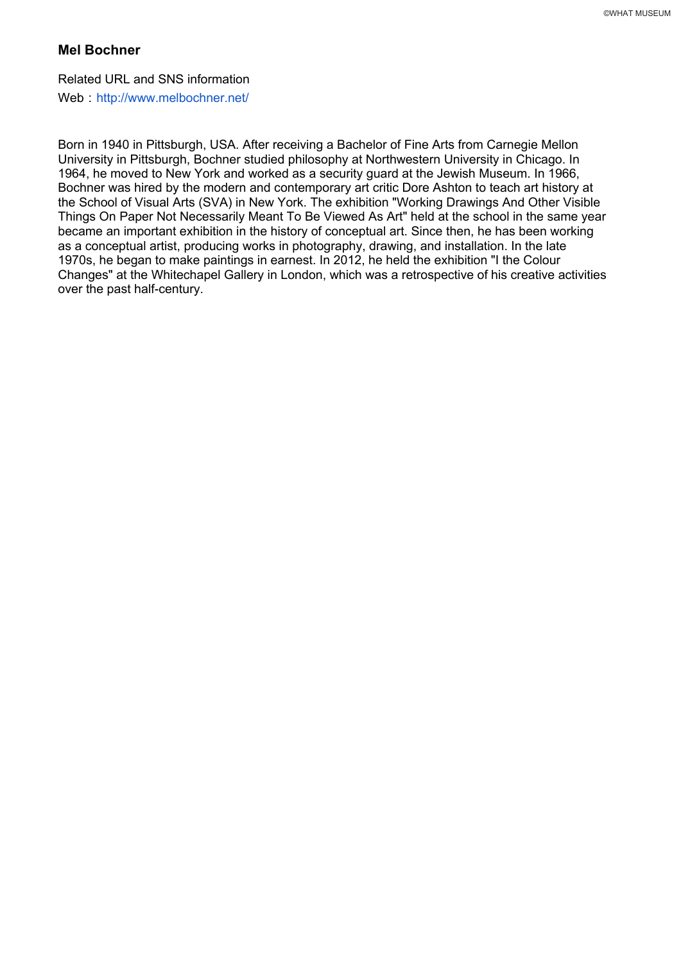# **Mel Bochner**

Related URL and SNS information

Web : http://www.melbochner.net/

Born in 1940 in Pittsburgh, USA. After receiving a Bachelor of Fine Arts from Carnegie Mellon University in Pittsburgh, Bochner studied philosophy at Northwestern University in Chicago. In 1964, he moved to New York and worked as a security guard at the Jewish Museum. In 1966, Bochner was hired by the modern and contemporary art critic Dore Ashton to teach art history at the School of Visual Arts (SVA) in New York. The exhibition "Working Drawings And Other Visible Things On Paper Not Necessarily Meant To Be Viewed As Art" held at the school in the same year became an important exhibition in the history of conceptual art. Since then, he has been working as a conceptual artist, producing works in photography, drawing, and installation. In the late 1970s, he began to make paintings in earnest. In 2012, he held the exhibition "I the Colour Changes" at the Whitechapel Gallery in London, which was a retrospective of his creative activities over the past half-century.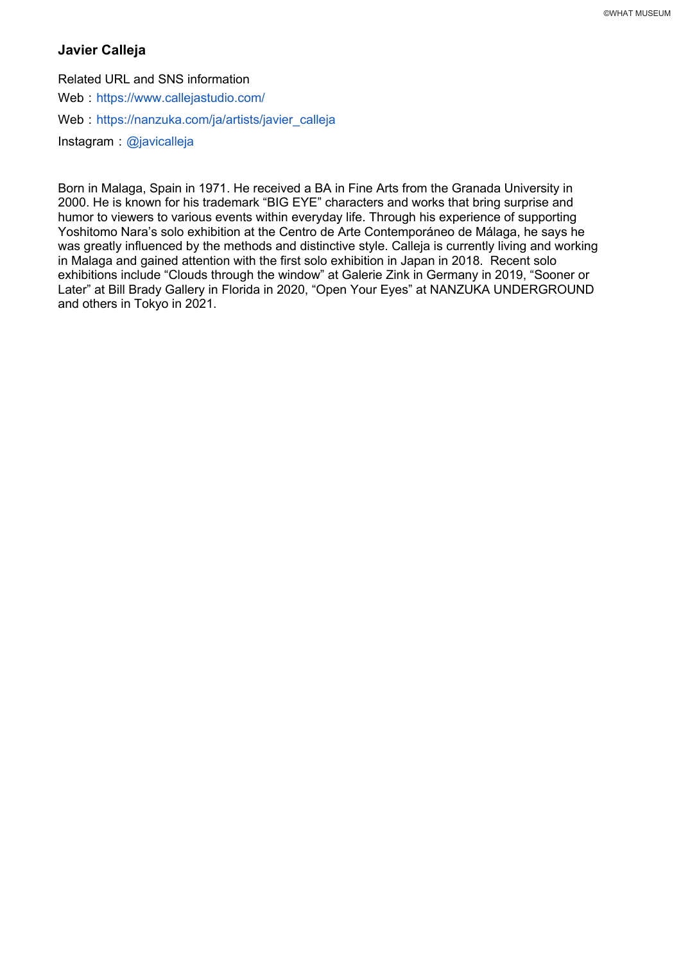# **Javier Calleja**

Related URL and SNS information

Web https://www.callejastudio.com/

Web: https://nanzuka.com/ja/artists/javier\_calleja

Instagram : @javicalleja

Born in Malaga, Spain in 1971. He received a BA in Fine Arts from the Granada University in 2000. He is known for his trademark "BIG EYE" characters and works that bring surprise and humor to viewers to various events within everyday life. Through his experience of supporting Yoshitomo Nara's solo exhibition at the Centro de Arte Contemporáneo de Málaga, he says he was greatly influenced by the methods and distinctive style. Calleja is currently living and working in Malaga and gained attention with the first solo exhibition in Japan in 2018. Recent solo exhibitions include "Clouds through the window" at Galerie Zink in Germany in 2019, "Sooner or Later" at Bill Brady Gallery in Florida in 2020, "Open Your Eyes" at NANZUKA UNDERGROUND and others in Tokyo in 2021.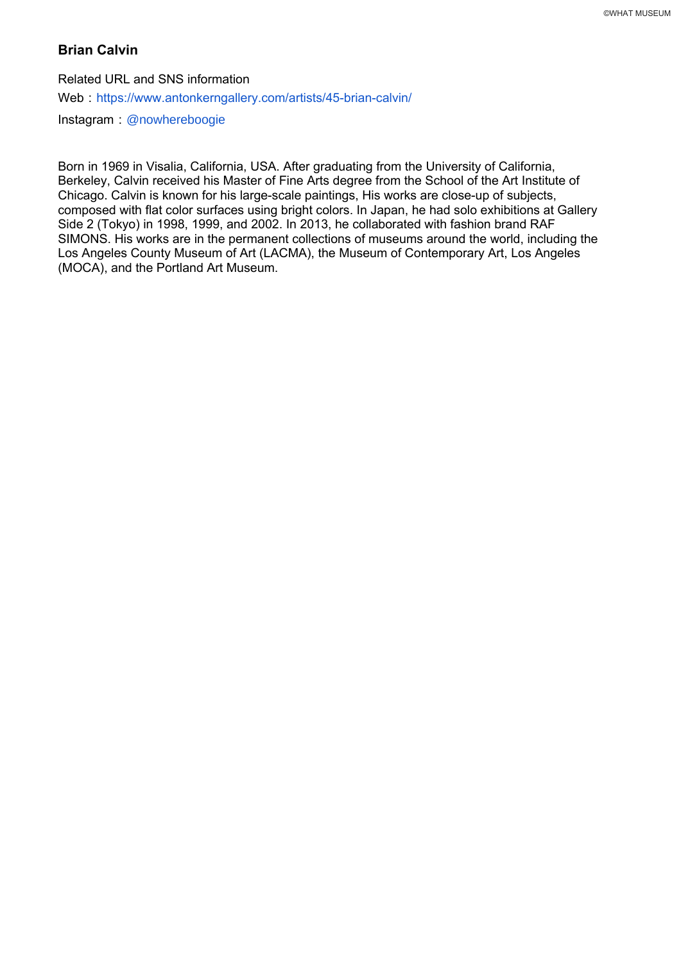# **Brian Calvin**

Related URL and SNS information Web: https://www.antonkerngallery.com/artists/45-brian-calvin/ Instagram : @nowhereboogie

Born in 1969 in Visalia, California, USA. After graduating from the University of California, Berkeley, Calvin received his Master of Fine Arts degree from the School of the Art Institute of Chicago. Calvin is known for his large-scale paintings, His works are close-up of subjects, composed with flat color surfaces using bright colors. In Japan, he had solo exhibitions at Gallery Side 2 (Tokyo) in 1998, 1999, and 2002. In 2013, he collaborated with fashion brand RAF SIMONS. His works are in the permanent collections of museums around the world, including the Los Angeles County Museum of Art (LACMA), the Museum of Contemporary Art, Los Angeles (MOCA), and the Portland Art Museum.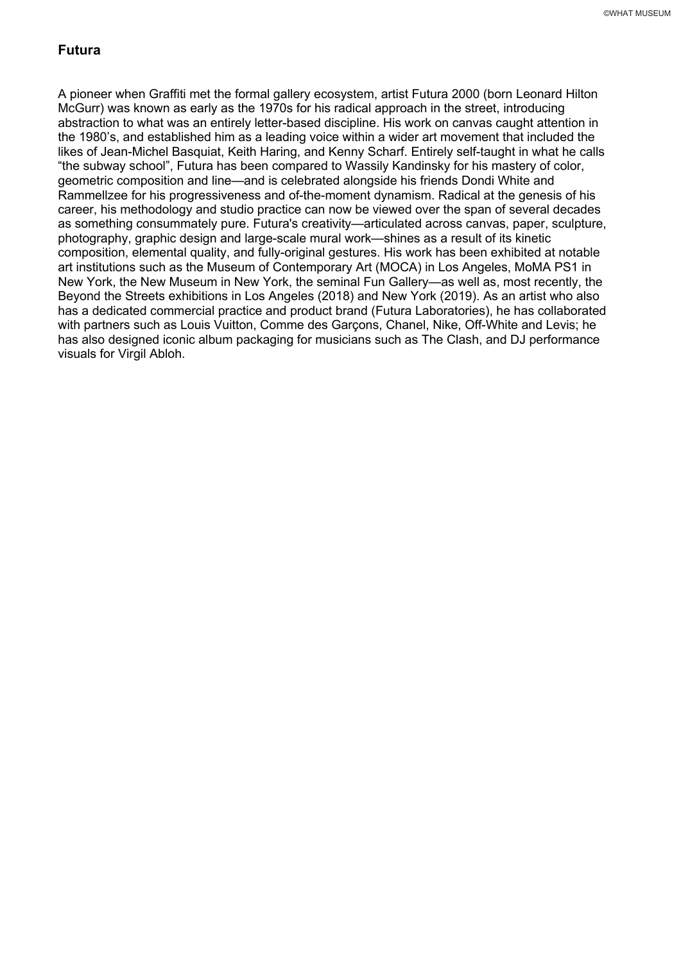# **Futura**

A pioneer when Graffiti met the formal gallery ecosystem, artist Futura 2000 (born Leonard Hilton McGurr) was known as early as the 1970s for his radical approach in the street, introducing abstraction to what was an entirely letter-based discipline. His work on canvas caught attention in the 1980's, and established him as a leading voice within a wider art movement that included the likes of Jean-Michel Basquiat, Keith Haring, and Kenny Scharf. Entirely self-taught in what he calls "the subway school", Futura has been compared to Wassily Kandinsky for his mastery of color, geometric composition and line—and is celebrated alongside his friends Dondi White and Rammellzee for his progressiveness and of-the-moment dynamism. Radical at the genesis of his career, his methodology and studio practice can now be viewed over the span of several decades as something consummately pure. Futura's creativity—articulated across canvas, paper, sculpture, photography, graphic design and large-scale mural work—shines as a result of its kinetic composition, elemental quality, and fully-original gestures. His work has been exhibited at notable art institutions such as the Museum of Contemporary Art (MOCA) in Los Angeles, MoMA PS1 in New York, the New Museum in New York, the seminal Fun Gallery—as well as, most recently, the Beyond the Streets exhibitions in Los Angeles (2018) and New York (2019). As an artist who also has a dedicated commercial practice and product brand (Futura Laboratories), he has collaborated with partners such as Louis Vuitton, Comme des Garçons, Chanel, Nike, Off-White and Levis; he has also designed iconic album packaging for musicians such as The Clash, and DJ performance visuals for Virgil Abloh.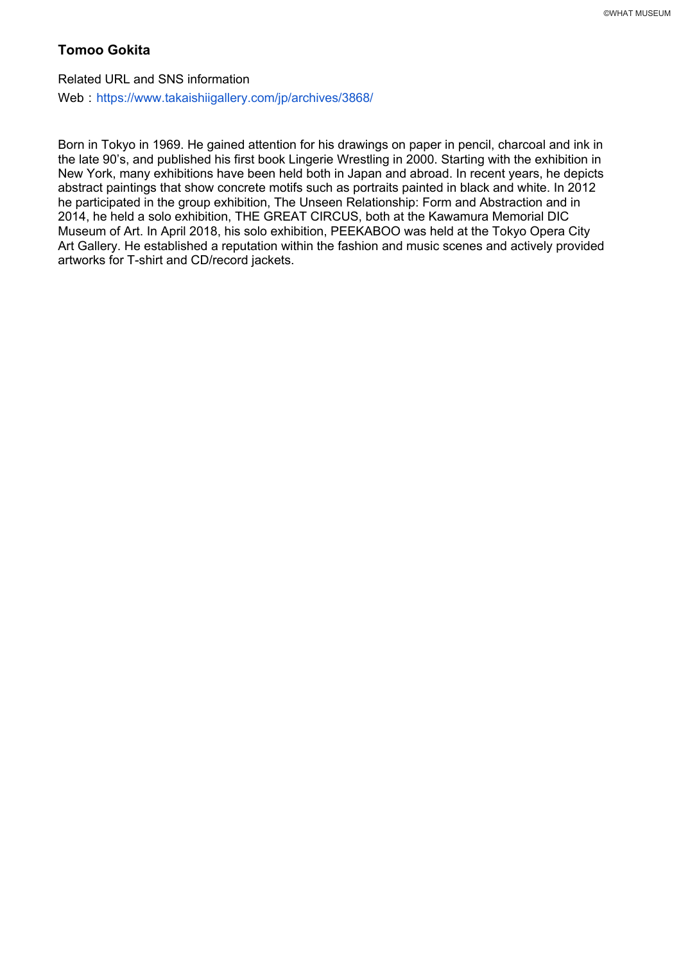# **Tomoo Gokita**

Related URL and SNS information Web: https://www.takaishiigallery.com/jp/archives/3868/

Born in Tokyo in 1969. He gained attention for his drawings on paper in pencil, charcoal and ink in the late 90's, and published his first book Lingerie Wrestling in 2000. Starting with the exhibition in New York, many exhibitions have been held both in Japan and abroad. In recent years, he depicts abstract paintings that show concrete motifs such as portraits painted in black and white. In 2012 he participated in the group exhibition, The Unseen Relationship: Form and Abstraction and in 2014, he held a solo exhibition, THE GREAT CIRCUS, both at the Kawamura Memorial DIC Museum of Art. In April 2018, his solo exhibition, PEEKABOO was held at the Tokyo Opera City Art Gallery. He established a reputation within the fashion and music scenes and actively provided artworks for T-shirt and CD/record jackets.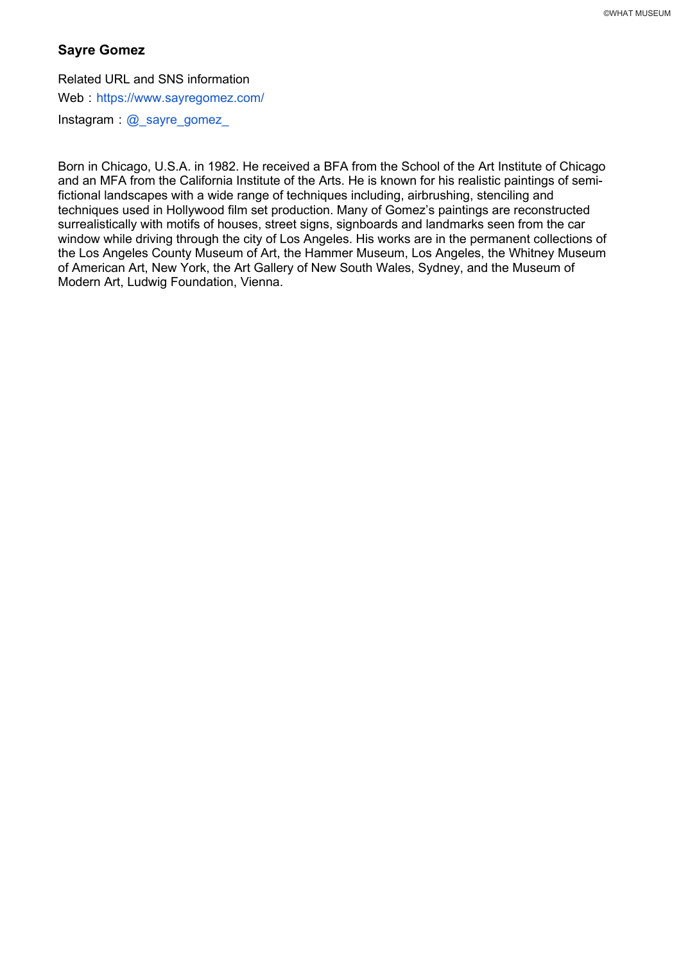# **Sayre Gomez**

Related URL and SNS information

Web https://www.sayregomez.com/

Instagram  $\omega$  sayre gomez

Born in Chicago, U.S.A. in 1982. He received a BFA from the School of the Art Institute of Chicago and an MFA from the California Institute of the Arts. He is known for his realistic paintings of semifictional landscapes with a wide range of techniques including, airbrushing, stenciling and techniques used in Hollywood film set production. Many of Gomez's paintings are reconstructed surrealistically with motifs of houses, street signs, signboards and landmarks seen from the car window while driving through the city of Los Angeles. His works are in the permanent collections of the Los Angeles County Museum of Art, the Hammer Museum, Los Angeles, the Whitney Museum of American Art, New York, the Art Gallery of New South Wales, Sydney, and the Museum of Modern Art, Ludwig Foundation, Vienna.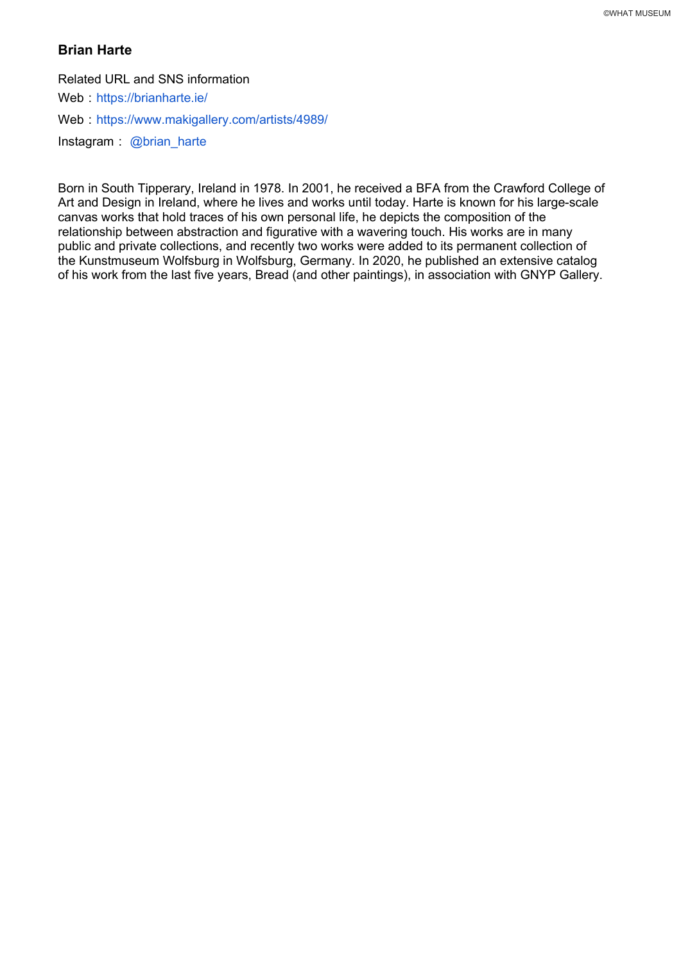# **Brian Harte**

Related URL and SNS information

Web https://brianharte.ie/

Web: https://www.makigallery.com/artists/4989/

Instagram  $\omega$ brian harte

Born in South Tipperary, Ireland in 1978. In 2001, he received a BFA from the Crawford College of Art and Design in Ireland, where he lives and works until today. Harte is known for his large-scale canvas works that hold traces of his own personal life, he depicts the composition of the relationship between abstraction and figurative with a wavering touch. His works are in many public and private collections, and recently two works were added to its permanent collection of the Kunstmuseum Wolfsburg in Wolfsburg, Germany. In 2020, he published an extensive catalog of his work from the last five years, Bread (and other paintings), in association with GNYP Gallery.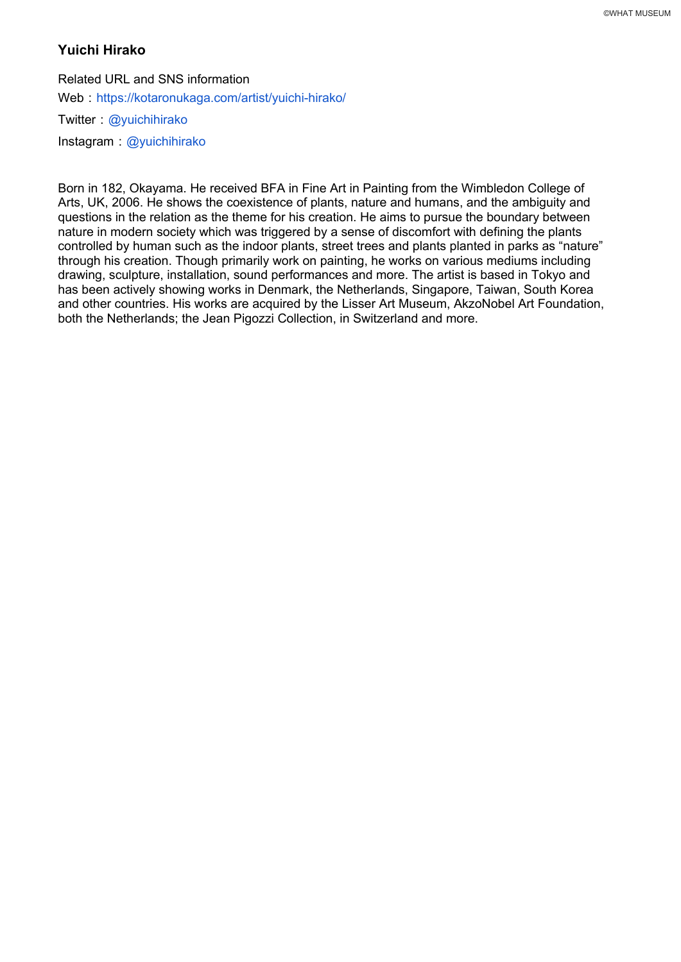# **Yuichi Hirako**

Related URL and SNS information Web: https://kotaronukaga.com/artist/yuichi-hirako/ Twitter: @yuichihirako Instagram @yuichihirako

Born in 182, Okayama. He received BFA in Fine Art in Painting from the Wimbledon College of Arts, UK, 2006. He shows the coexistence of plants, nature and humans, and the ambiguity and questions in the relation as the theme for his creation. He aims to pursue the boundary between nature in modern society which was triggered by a sense of discomfort with defining the plants controlled by human such as the indoor plants, street trees and plants planted in parks as "nature" through his creation. Though primarily work on painting, he works on various mediums including drawing, sculpture, installation, sound performances and more. The artist is based in Tokyo and has been actively showing works in Denmark, the Netherlands, Singapore, Taiwan, South Korea and other countries. His works are acquired by the Lisser Art Museum, AkzoNobel Art Foundation, both the Netherlands; the Jean Pigozzi Collection, in Switzerland and more.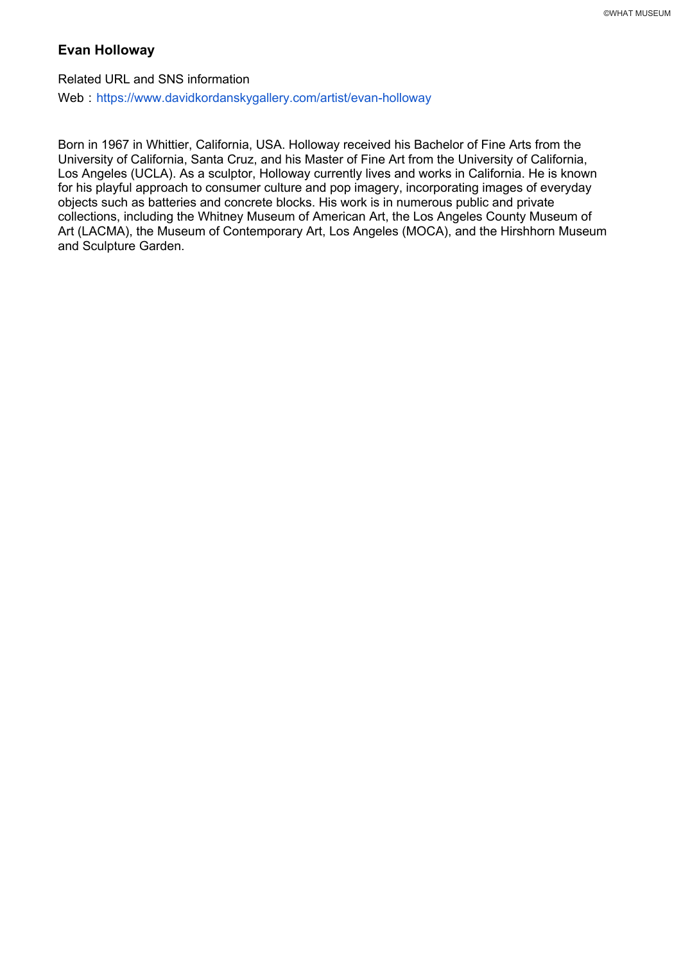#### **Evan Holloway**

Related URL and SNS information Web: https://www.davidkordanskygallery.com/artist/evan-holloway

Born in 1967 in Whittier, California, USA. Holloway received his Bachelor of Fine Arts from the University of California, Santa Cruz, and his Master of Fine Art from the University of California, Los Angeles (UCLA). As a sculptor, Holloway currently lives and works in California. He is known for his playful approach to consumer culture and pop imagery, incorporating images of everyday objects such as batteries and concrete blocks. His work is in numerous public and private collections, including the Whitney Museum of American Art, the Los Angeles County Museum of Art (LACMA), the Museum of Contemporary Art, Los Angeles (MOCA), and the Hirshhorn Museum and Sculpture Garden.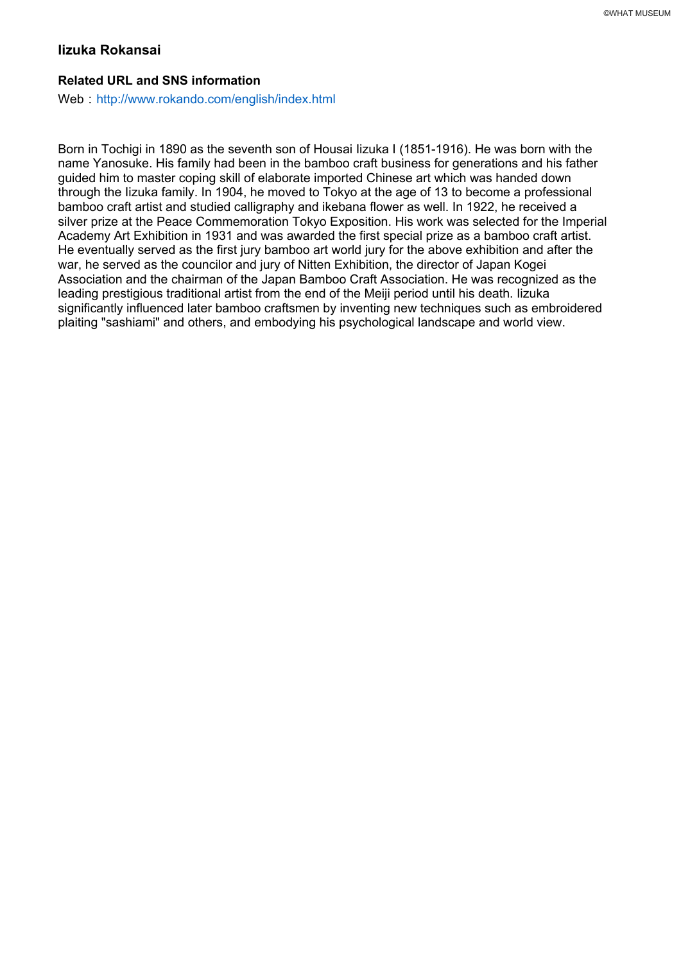### **Iizuka Rokansai**

#### **Related URL and SNS information**

Web: http://www.rokando.com/english/index.html

Born in Tochigi in 1890 as the seventh son of Housai Iizuka I (1851-1916). He was born with the name Yanosuke. His family had been in the bamboo craft business for generations and his father guided him to master coping skill of elaborate imported Chinese art which was handed down through the Iizuka family. In 1904, he moved to Tokyo at the age of 13 to become a professional bamboo craft artist and studied calligraphy and ikebana flower as well. In 1922, he received a silver prize at the Peace Commemoration Tokyo Exposition. His work was selected for the Imperial Academy Art Exhibition in 1931 and was awarded the first special prize as a bamboo craft artist. He eventually served as the first jury bamboo art world jury for the above exhibition and after the war, he served as the councilor and jury of Nitten Exhibition, the director of Japan Kogei Association and the chairman of the Japan Bamboo Craft Association. He was recognized as the leading prestigious traditional artist from the end of the Meiji period until his death. Iizuka significantly influenced later bamboo craftsmen by inventing new techniques such as embroidered plaiting "sashiami" and others, and embodying his psychological landscape and world view.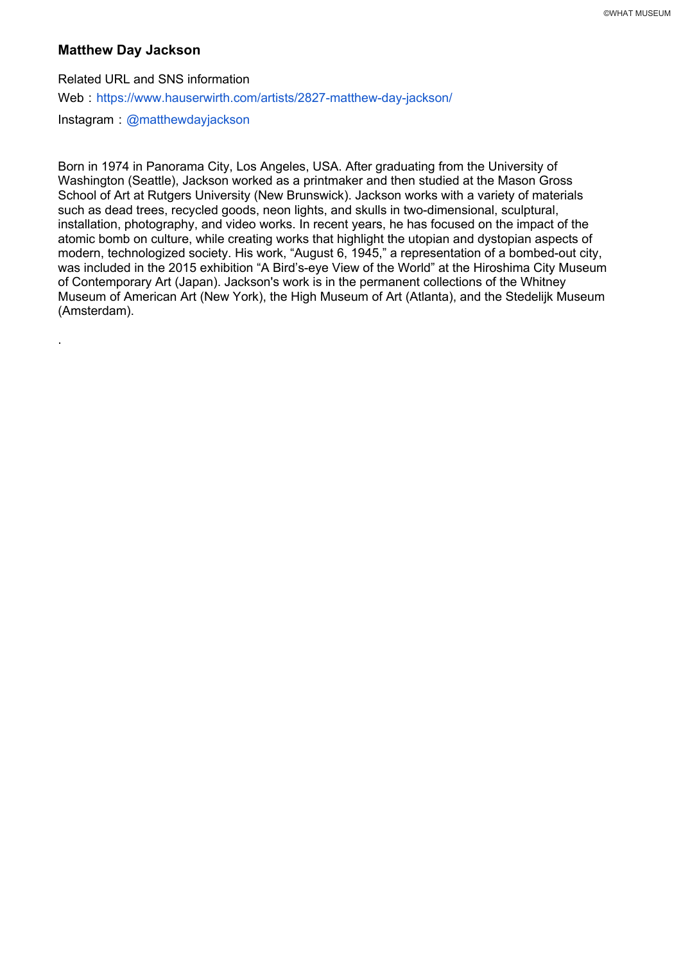# **Matthew Day Jackson**

.

Related URL and SNS information Web: https://www.hauserwirth.com/artists/2827-matthew-day-jackson/ Instagram: @matthewdayjackson

Born in 1974 in Panorama City, Los Angeles, USA. After graduating from the University of Washington (Seattle), Jackson worked as a printmaker and then studied at the Mason Gross School of Art at Rutgers University (New Brunswick). Jackson works with a variety of materials such as dead trees, recycled goods, neon lights, and skulls in two-dimensional, sculptural, installation, photography, and video works. In recent years, he has focused on the impact of the atomic bomb on culture, while creating works that highlight the utopian and dystopian aspects of modern, technologized society. His work, "August 6, 1945," a representation of a bombed-out city, was included in the 2015 exhibition "A Bird's-eye View of the World" at the Hiroshima City Museum of Contemporary Art (Japan). Jackson's work is in the permanent collections of the Whitney Museum of American Art (New York), the High Museum of Art (Atlanta), and the Stedelijk Museum (Amsterdam).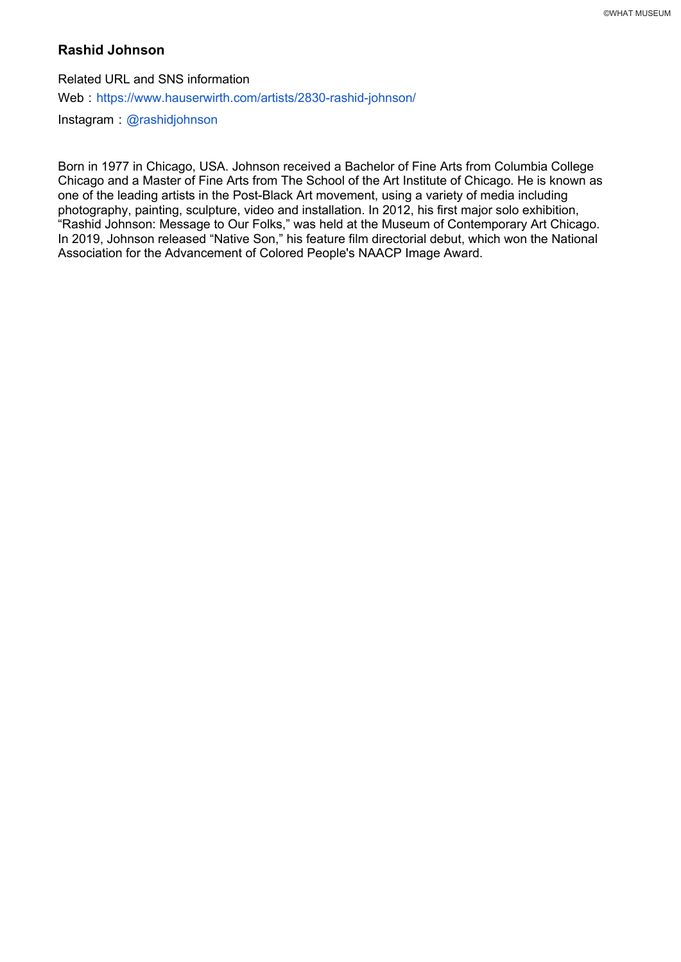# **Rashid Johnson**

Related URL and SNS information Web: https://www.hauserwirth.com/artists/2830-rashid-johnson/  $Instagram: @rashidjoh nson$ 

Born in 1977 in Chicago, USA. Johnson received a Bachelor of Fine Arts from Columbia College Chicago and a Master of Fine Arts from The School of the Art Institute of Chicago. He is known as one of the leading artists in the Post-Black Art movement, using a variety of media including photography, painting, sculpture, video and installation. In 2012, his first major solo exhibition, "Rashid Johnson: Message to Our Folks," was held at the Museum of Contemporary Art Chicago. In 2019, Johnson released "Native Son," his feature film directorial debut, which won the National Association for the Advancement of Colored People's NAACP Image Award.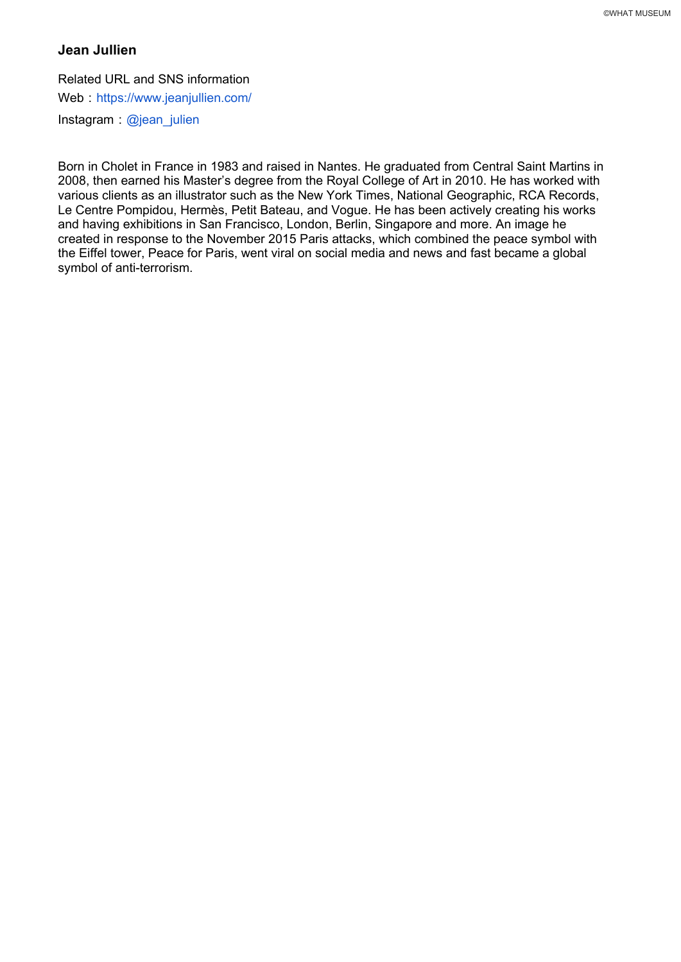# **Jean Jullien**

Related URL and SNS information

Web : https://www.jeanjullien.com/

Instagram  $\omega$ jean julien

Born in Cholet in France in 1983 and raised in Nantes. He graduated from Central Saint Martins in 2008, then earned his Master's degree from the Royal College of Art in 2010. He has worked with various clients as an illustrator such as the New York Times, National Geographic, RCA Records, Le Centre Pompidou, Hermès, Petit Bateau, and Vogue. He has been actively creating his works and having exhibitions in San Francisco, London, Berlin, Singapore and more. An image he created in response to the November 2015 Paris attacks, which combined the peace symbol with the Eiffel tower, Peace for Paris, went viral on social media and news and fast became a global symbol of anti-terrorism.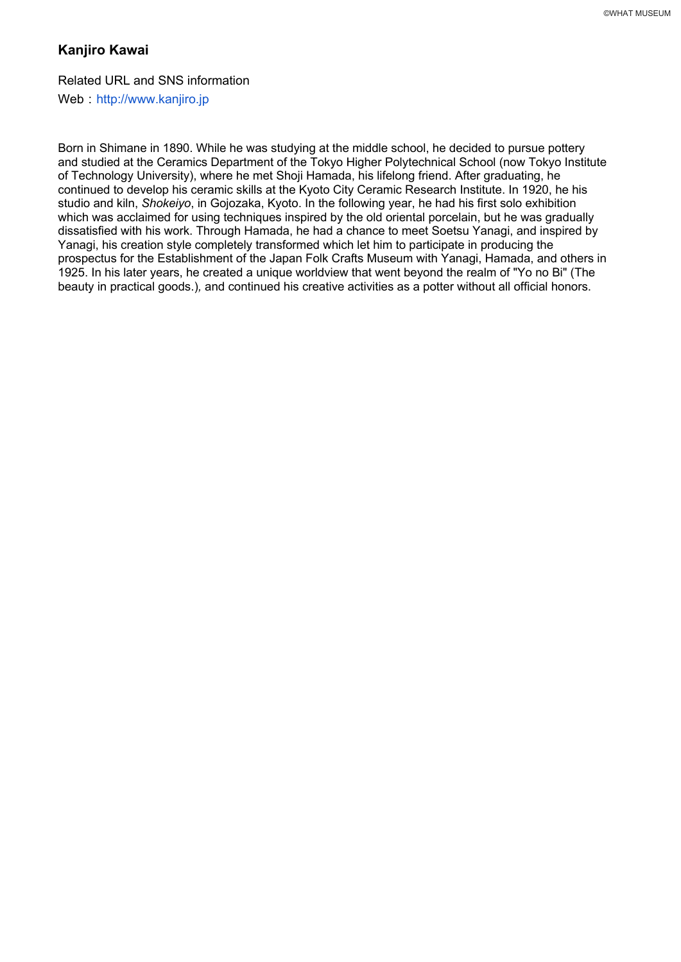# **Kanjiro Kawai**

# Related URL and SNS information

Web http://www.kanjiro.jp

Born in Shimane in 1890. While he was studying at the middle school, he decided to pursue pottery and studied at the Ceramics Department of the Tokyo Higher Polytechnical School (now Tokyo Institute of Technology University), where he met Shoji Hamada, his lifelong friend. After graduating, he continued to develop his ceramic skills at the Kyoto City Ceramic Research Institute. In 1920, he his studio and kiln, *Shokeiyo*, in Gojozaka, Kyoto. In the following year, he had his first solo exhibition which was acclaimed for using techniques inspired by the old oriental porcelain, but he was gradually dissatisfied with his work. Through Hamada, he had a chance to meet Soetsu Yanagi, and inspired by Yanagi, his creation style completely transformed which let him to participate in producing the prospectus for the Establishment of the Japan Folk Crafts Museum with Yanagi, Hamada, and others in 1925. In his later years, he created a unique worldview that went beyond the realm of "Yo no Bi" (The beauty in practical goods.)*,* and continued his creative activities as a potter without all official honors.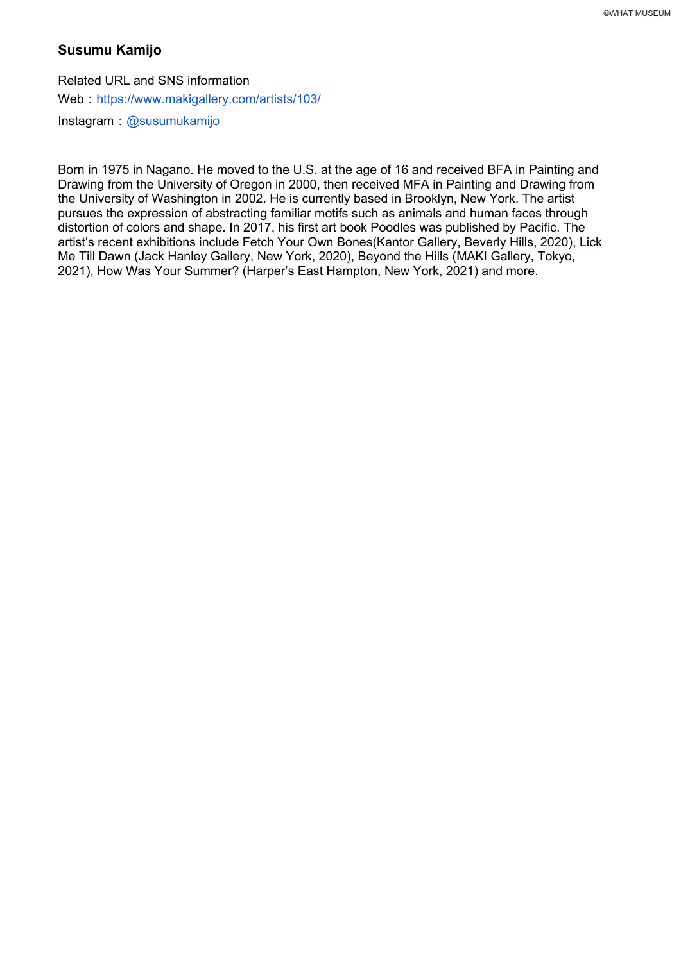# **Susumu Kamijo**

Related URL and SNS information Web: https://www.makigallery.com/artists/103/ Instagram @susumukamijo

Born in 1975 in Nagano. He moved to the U.S. at the age of 16 and received BFA in Painting and Drawing from the University of Oregon in 2000, then received MFA in Painting and Drawing from the University of Washington in 2002. He is currently based in Brooklyn, New York. The artist pursues the expression of abstracting familiar motifs such as animals and human faces through distortion of colors and shape. In 2017, his first art book Poodles was published by Pacific. The artist's recent exhibitions include Fetch Your Own Bones(Kantor Gallery, Beverly Hills, 2020), Lick Me Till Dawn (Jack Hanley Gallery, New York, 2020), Beyond the Hills (MAKI Gallery, Tokyo, 2021), How Was Your Summer? (Harper's East Hampton, New York, 2021) and more.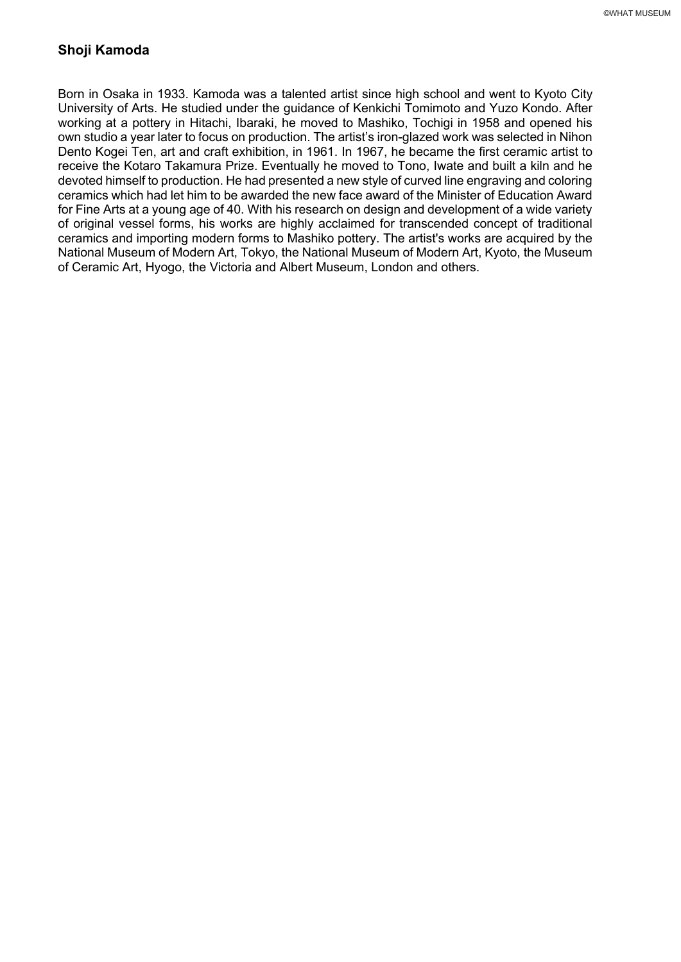# **Shoji Kamoda**

Born in Osaka in 1933. Kamoda was a talented artist since high school and went to Kyoto City University of Arts. He studied under the guidance of Kenkichi Tomimoto and Yuzo Kondo. After working at a pottery in Hitachi, Ibaraki, he moved to Mashiko, Tochigi in 1958 and opened his own studio a year later to focus on production. The artist's iron-glazed work was selected in Nihon Dento Kogei Ten, art and craft exhibition, in 1961. In 1967, he became the first ceramic artist to receive the Kotaro Takamura Prize. Eventually he moved to Tono, Iwate and built a kiln and he devoted himself to production. He had presented a new style of curved line engraving and coloring ceramics which had let him to be awarded the new face award of the Minister of Education Award for Fine Arts at a young age of 40. With his research on design and development of a wide variety of original vessel forms, his works are highly acclaimed for transcended concept of traditional ceramics and importing modern forms to Mashiko pottery. The artist's works are acquired by the National Museum of Modern Art, Tokyo, the National Museum of Modern Art, Kyoto, the Museum of Ceramic Art, Hyogo, the Victoria and Albert Museum, London and others.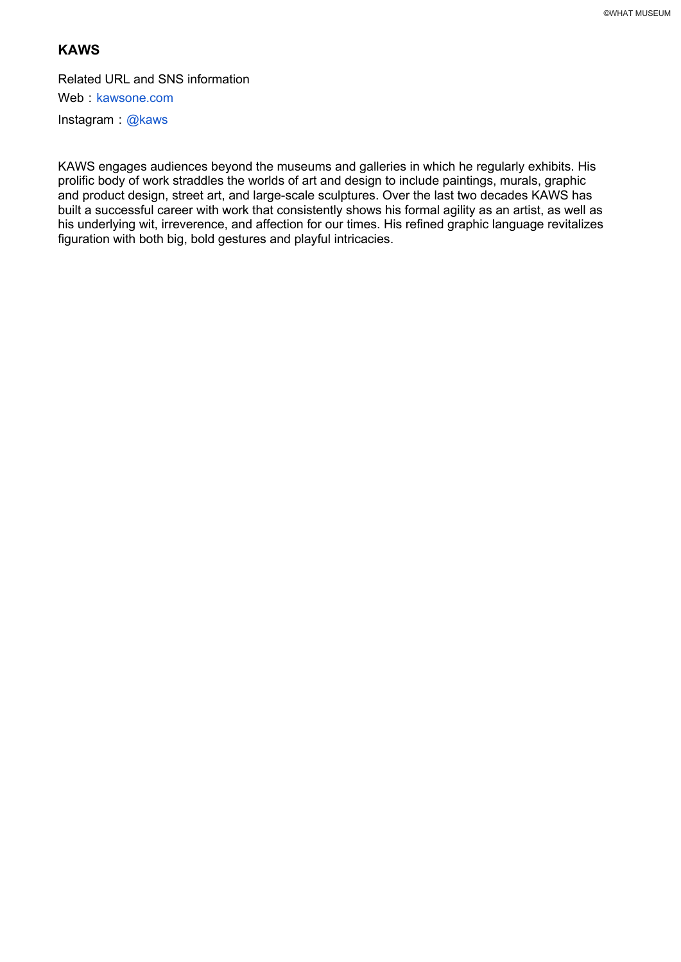# **KAWS**

Related URL and SNS information Web : kawsone.com Instagram:  $@$ kaws

KAWS engages audiences beyond the museums and galleries in which he regularly exhibits. His prolific body of work straddles the worlds of art and design to include paintings, murals, graphic and product design, street art, and large-scale sculptures. Over the last two decades KAWS has built a successful career with work that consistently shows his formal agility as an artist, as well as his underlying wit, irreverence, and affection for our times. His refined graphic language revitalizes figuration with both big, bold gestures and playful intricacies.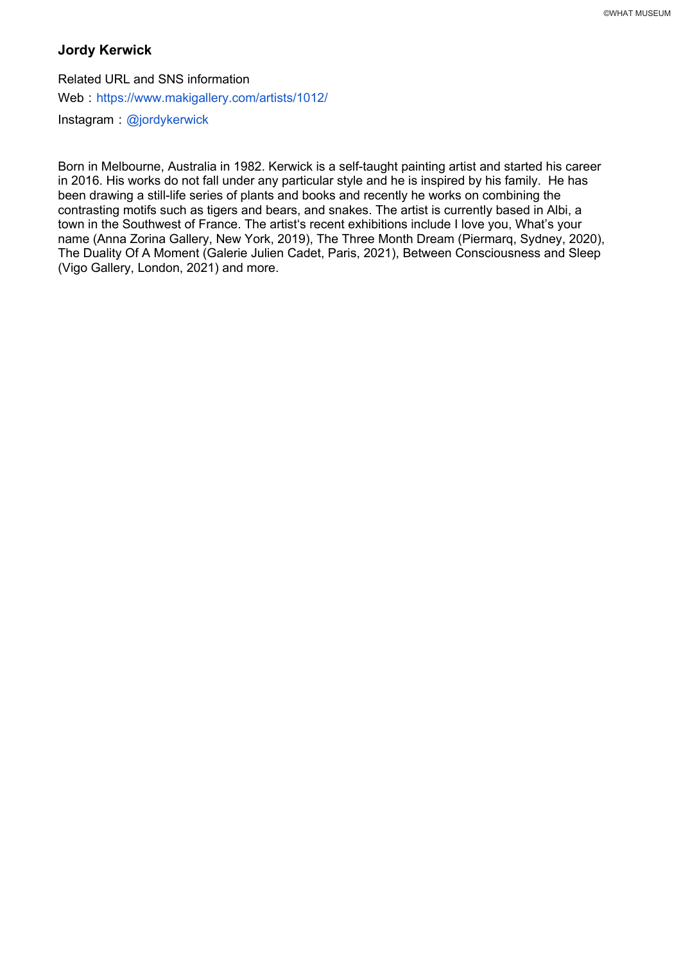# **Jordy Kerwick**

Related URL and SNS information Web: https://www.makigallery.com/artists/1012/ Instagram @jordykerwick

Born in Melbourne, Australia in 1982. Kerwick is a self-taught painting artist and started his career in 2016. His works do not fall under any particular style and he is inspired by his family. He has been drawing a still-life series of plants and books and recently he works on combining the contrasting motifs such as tigers and bears, and snakes. The artist is currently based in Albi, a town in the Southwest of France. The artist's recent exhibitions include I love you, What's your name (Anna Zorina Gallery, New York, 2019), The Three Month Dream (Piermarq, Sydney, 2020), The Duality Of A Moment (Galerie Julien Cadet, Paris, 2021), Between Consciousness and Sleep (Vigo Gallery, London, 2021) and more.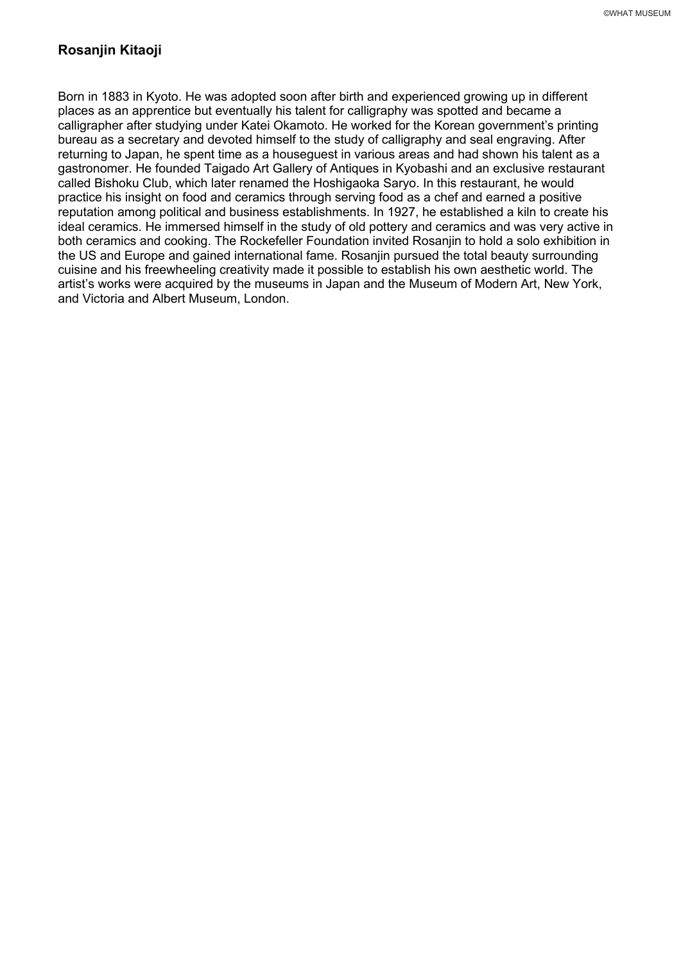# **Rosanjin Kitaoji**

Born in 1883 in Kyoto. He was adopted soon after birth and experienced growing up in different places as an apprentice but eventually his talent for calligraphy was spotted and became a calligrapher after studying under Katei Okamoto. He worked for the Korean government's printing bureau as a secretary and devoted himself to the study of calligraphy and seal engraving. After returning to Japan, he spent time as a houseguest in various areas and had shown his talent as a gastronomer. He founded Taigado Art Gallery of Antiques in Kyobashi and an exclusive restaurant called Bishoku Club, which later renamed the Hoshigaoka Saryo. In this restaurant, he would practice his insight on food and ceramics through serving food as a chef and earned a positive reputation among political and business establishments. In 1927, he established a kiln to create his ideal ceramics. He immersed himself in the study of old pottery and ceramics and was very active in both ceramics and cooking. The Rockefeller Foundation invited Rosanjin to hold a solo exhibition in the US and Europe and gained international fame. Rosanjin pursued the total beauty surrounding cuisine and his freewheeling creativity made it possible to establish his own aesthetic world. The artist's works were acquired by the museums in Japan and the Museum of Modern Art, New York, and Victoria and Albert Museum, London.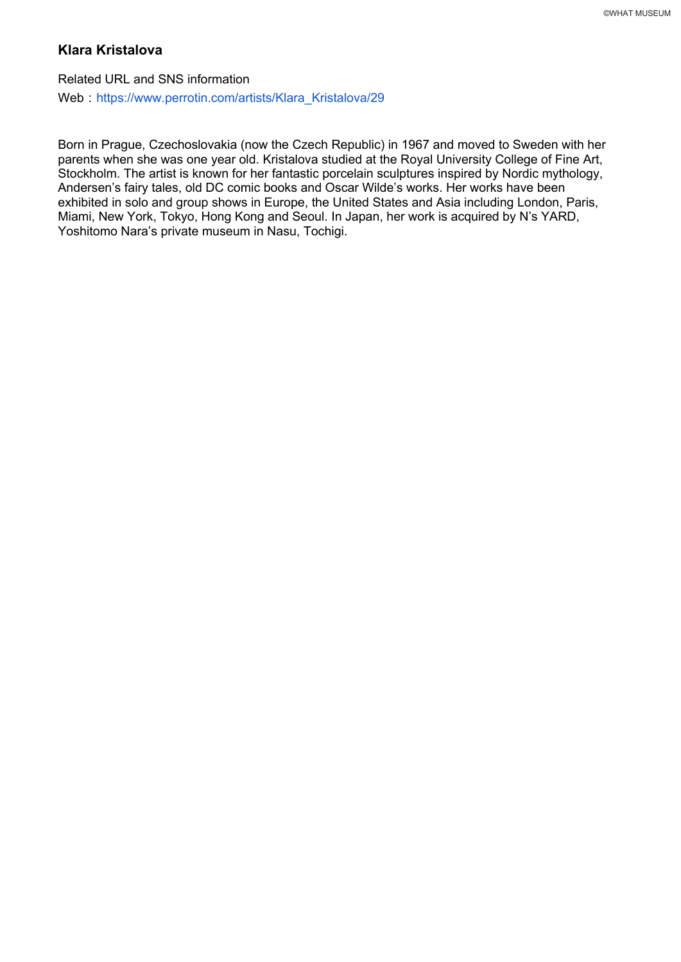# **Klara Kristalova**

Related URL and SNS information Web: https://www.perrotin.com/artists/Klara\_Kristalova/29

Born in Prague, Czechoslovakia (now the Czech Republic) in 1967 and moved to Sweden with her parents when she was one year old. Kristalova studied at the Royal University College of Fine Art, Stockholm. The artist is known for her fantastic porcelain sculptures inspired by Nordic mythology, Andersen's fairy tales, old DC comic books and Oscar Wilde's works. Her works have been exhibited in solo and group shows in Europe, the United States and Asia including London, Paris, Miami, New York, Tokyo, Hong Kong and Seoul. In Japan, her work is acquired by N's YARD, Yoshitomo Nara's private museum in Nasu, Tochigi.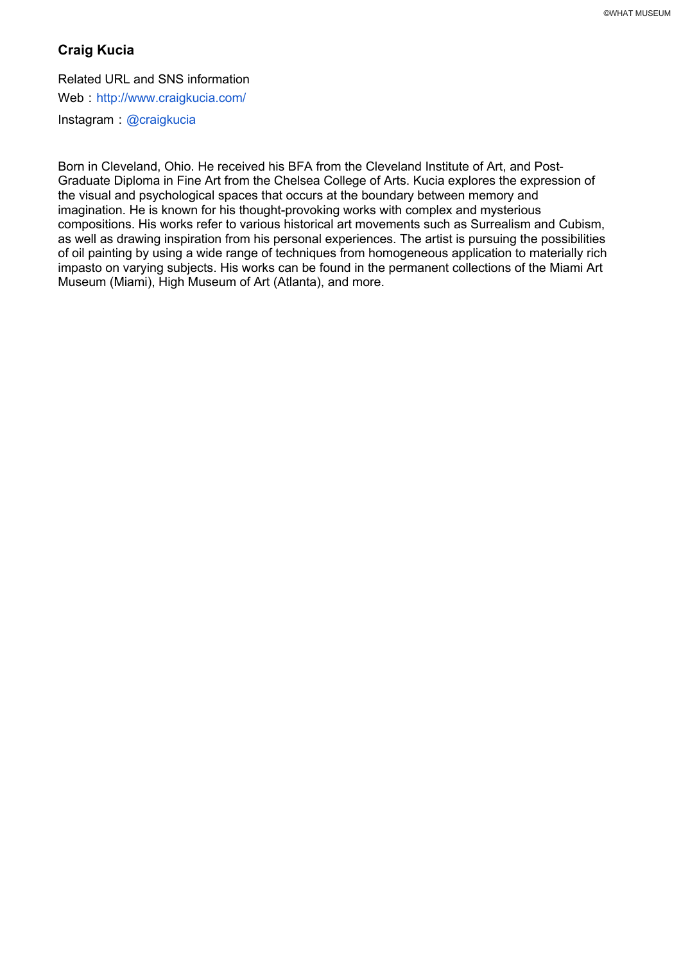# **Craig Kucia**

#### Related URL and SNS information

Web : http://www.craigkucia.com/

Instagram @craigkucia

Born in Cleveland, Ohio. He received his BFA from the Cleveland Institute of Art, and Post-Graduate Diploma in Fine Art from the Chelsea College of Arts. Kucia explores the expression of the visual and psychological spaces that occurs at the boundary between memory and imagination. He is known for his thought-provoking works with complex and mysterious compositions. His works refer to various historical art movements such as Surrealism and Cubism, as well as drawing inspiration from his personal experiences. The artist is pursuing the possibilities of oil painting by using a wide range of techniques from homogeneous application to materially rich impasto on varying subjects. His works can be found in the permanent collections of the Miami Art Museum (Miami), High Museum of Art (Atlanta), and more.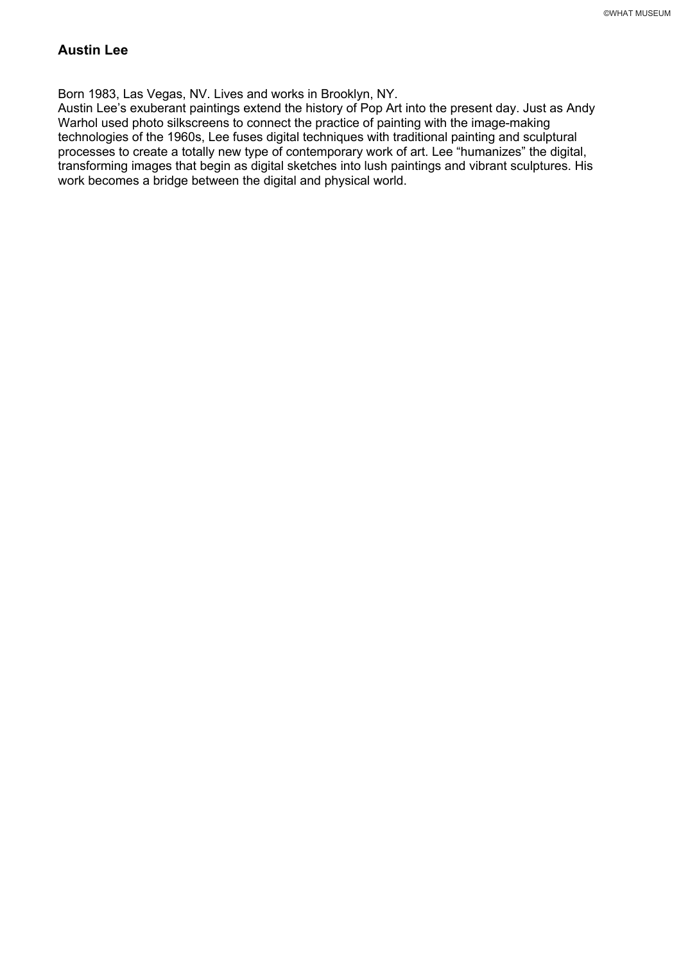# **Austin Lee**

Born 1983, Las Vegas, NV. Lives and works in Brooklyn, NY.

Austin Lee's exuberant paintings extend the history of Pop Art into the present day. Just as Andy Warhol used photo silkscreens to connect the practice of painting with the image-making technologies of the 1960s, Lee fuses digital techniques with traditional painting and sculptural processes to create a totally new type of contemporary work of art. Lee "humanizes" the digital, transforming images that begin as digital sketches into lush paintings and vibrant sculptures. His work becomes a bridge between the digital and physical world.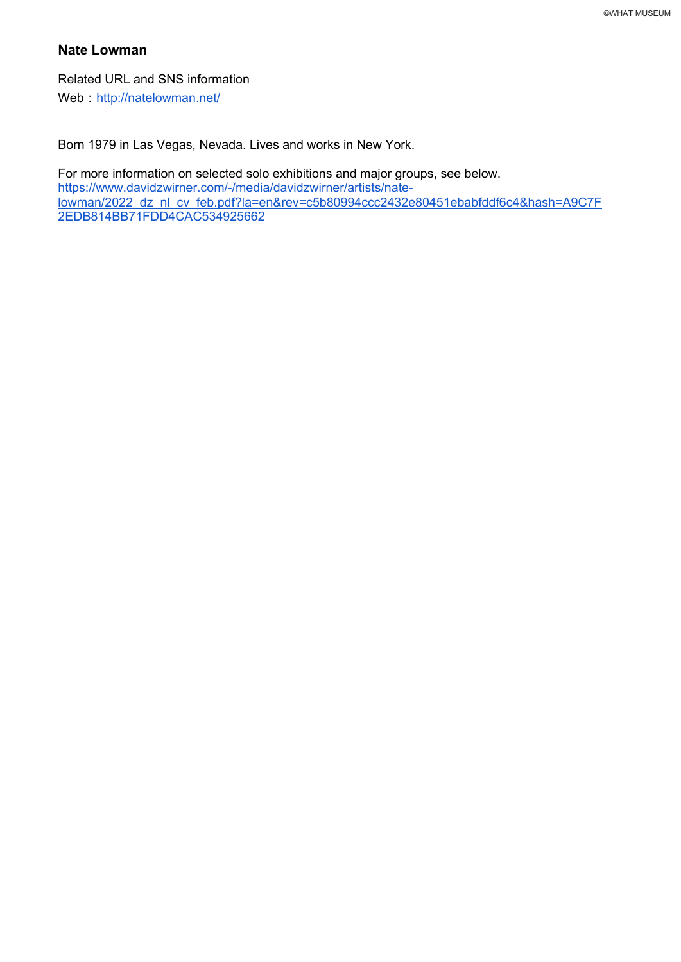# **Nate Lowman**

Related URL and SNS information Web: http://natelowman.net/

Born 1979 in Las Vegas, Nevada. Lives and works in New York.

For more information on selected solo exhibitions and major groups, see below. https://www.davidzwirner.com/-/media/davidzwirner/artists/natelowman/2022\_dz\_nl\_cv\_feb.pdf?la=en&rev=c5b80994ccc2432e80451ebabfddf6c4&hash=A9C7F 2EDB814BB71FDD4CAC534925662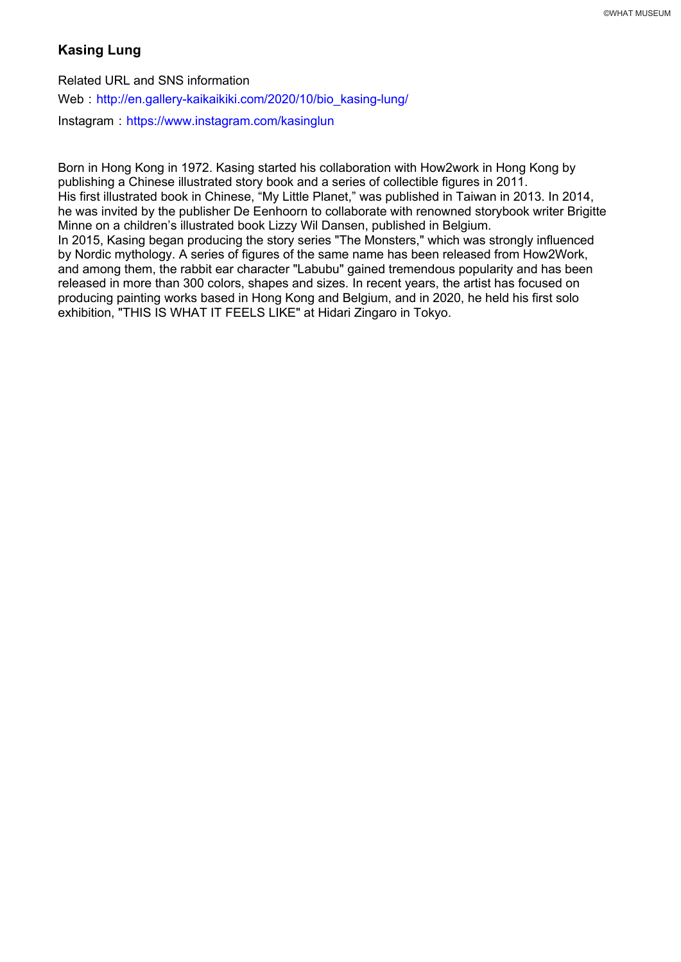# **Kasing Lung**

Related URL and SNS information Web: http://en.gallery-kaikaikiki.com/2020/10/bio\_kasing-lung/ Instagram: https://www.instagram.com/kasinglun

Born in Hong Kong in 1972. Kasing started his collaboration with How2work in Hong Kong by publishing a Chinese illustrated story book and a series of collectible figures in 2011. His first illustrated book in Chinese, "My Little Planet," was published in Taiwan in 2013. In 2014, he was invited by the publisher De Eenhoorn to collaborate with renowned storybook writer Brigitte Minne on a children's illustrated book Lizzy Wil Dansen, published in Belgium. In 2015, Kasing began producing the story series "The Monsters," which was strongly influenced by Nordic mythology. A series of figures of the same name has been released from How2Work, and among them, the rabbit ear character "Labubu" gained tremendous popularity and has been released in more than 300 colors, shapes and sizes. In recent years, the artist has focused on producing painting works based in Hong Kong and Belgium, and in 2020, he held his first solo exhibition, "THIS IS WHAT IT FEELS LIKE" at Hidari Zingaro in Tokyo.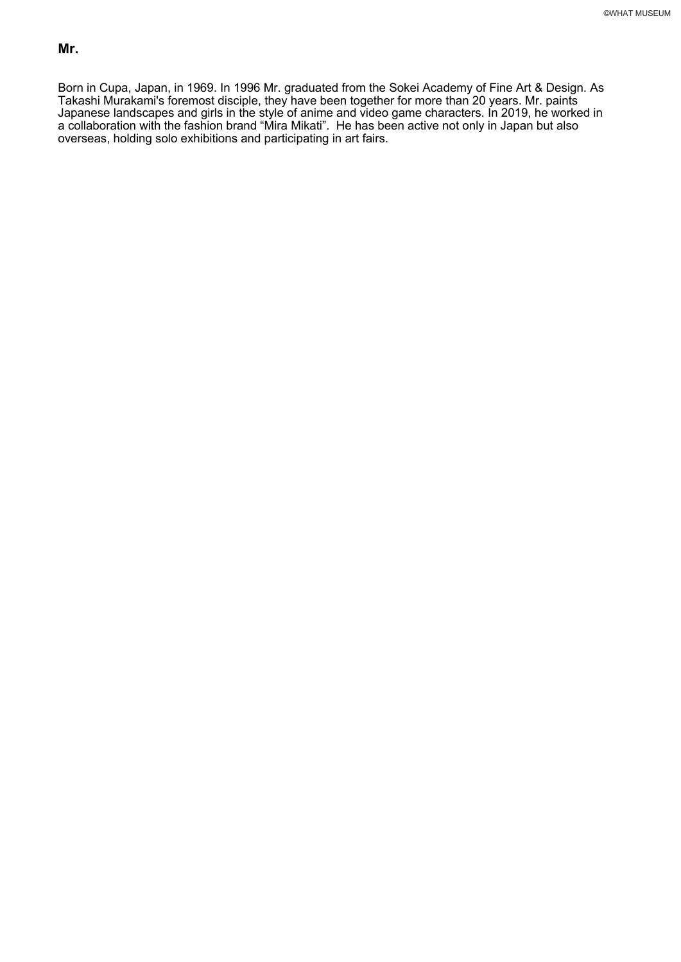Born in Cupa, Japan, in 1969. In 1996 Mr. graduated from the Sokei Academy of Fine Art & Design. As Takashi Murakami's foremost disciple, they have been together for more than 20 years. Mr. paints Japanese landscapes and girls in the style of anime and video game characters. In 2019, he worked in a collaboration with the fashion brand "Mira Mikati". He has been active not only in Japan but also overseas, holding solo exhibitions and participating in art fairs.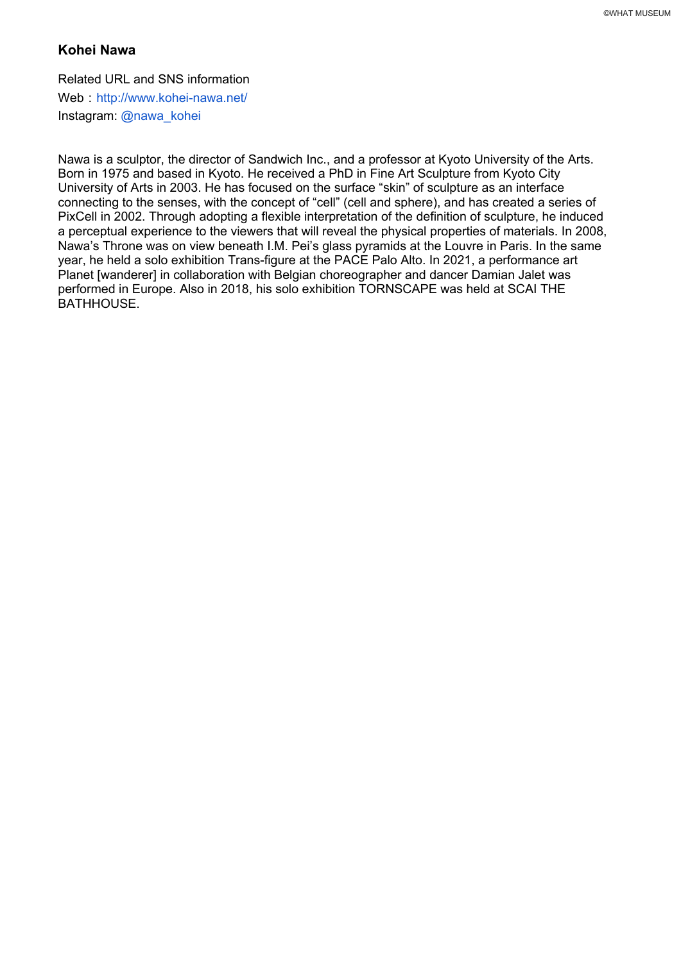## **Kohei Nawa**

Related URL and SNS information Web http://www.kohei-nawa.net/ Instagram: @nawa\_kohei

Nawa is a sculptor, the director of Sandwich Inc., and a professor at Kyoto University of the Arts. Born in 1975 and based in Kyoto. He received a PhD in Fine Art Sculpture from Kyoto City University of Arts in 2003. He has focused on the surface "skin" of sculpture as an interface connecting to the senses, with the concept of "cell" (cell and sphere), and has created a series of PixCell in 2002. Through adopting a flexible interpretation of the definition of sculpture, he induced a perceptual experience to the viewers that will reveal the physical properties of materials. In 2008, Nawa's Throne was on view beneath I.M. Pei's glass pyramids at the Louvre in Paris. In the same year, he held a solo exhibition Trans-figure at the PACE Palo Alto. In 2021, a performance art Planet [wanderer] in collaboration with Belgian choreographer and dancer Damian Jalet was performed in Europe. Also in 2018, his solo exhibition TORNSCAPE was held at SCAI THE BATHHOUSE.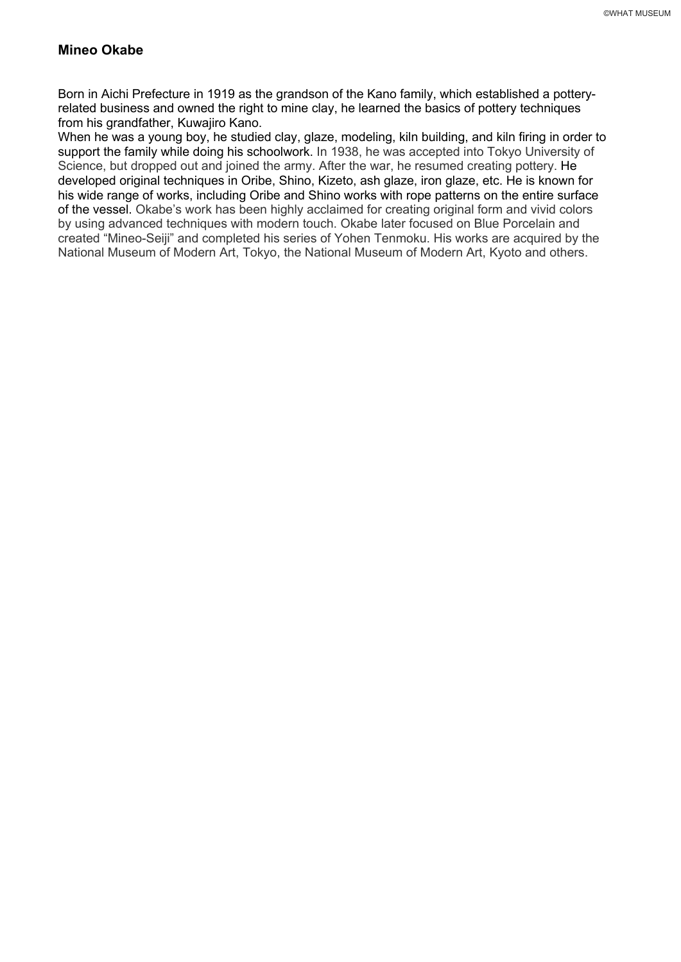#### **Mineo Okabe**

Born in Aichi Prefecture in 1919 as the grandson of the Kano family, which established a potteryrelated business and owned the right to mine clay, he learned the basics of pottery techniques from his grandfather, Kuwajiro Kano.

When he was a young boy, he studied clay, glaze, modeling, kiln building, and kiln firing in order to support the family while doing his schoolwork. In 1938, he was accepted into Tokyo University of Science, but dropped out and joined the army. After the war, he resumed creating pottery. He developed original techniques in Oribe, Shino, Kizeto, ash glaze, iron glaze, etc. He is known for his wide range of works, including Oribe and Shino works with rope patterns on the entire surface of the vessel. Okabe's work has been highly acclaimed for creating original form and vivid colors by using advanced techniques with modern touch. Okabe later focused on Blue Porcelain and created "Mineo-Seiji" and completed his series of Yohen Tenmoku. His works are acquired by the National Museum of Modern Art, Tokyo, the National Museum of Modern Art, Kyoto and others.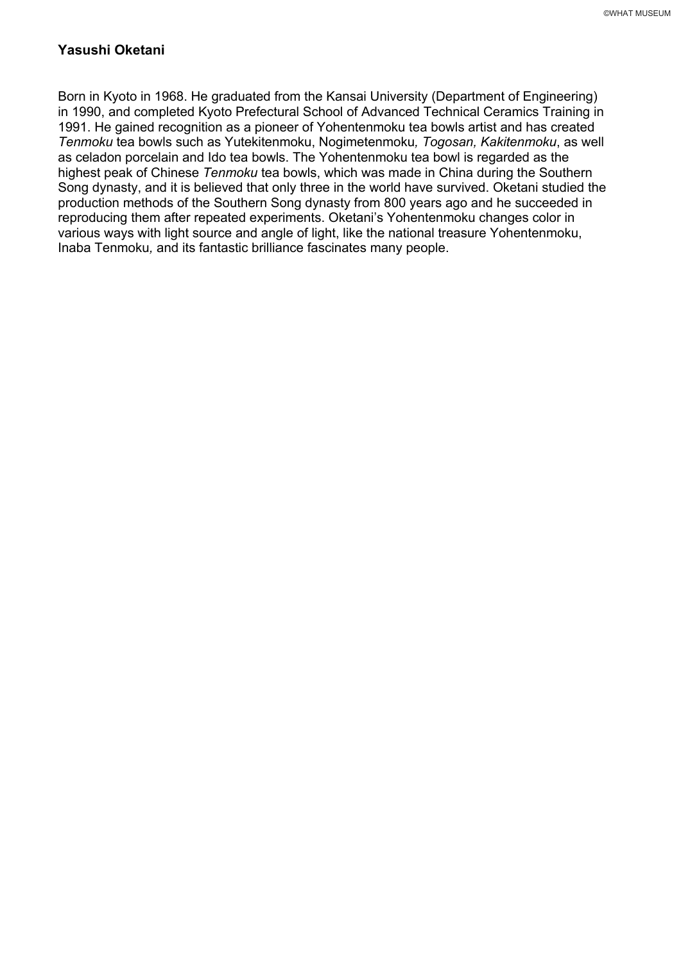## **Yasushi Oketani**

Born in Kyoto in 1968. He graduated from the Kansai University (Department of Engineering) in 1990, and completed Kyoto Prefectural School of Advanced Technical Ceramics Training in 1991. He gained recognition as a pioneer of Yohentenmoku tea bowls artist and has created *Tenmoku* tea bowls such as Yutekitenmoku, Nogimetenmoku*, Togosan, Kakitenmoku*, as well as celadon porcelain and Ido tea bowls. The Yohentenmoku tea bowl is regarded as the highest peak of Chinese *Tenmoku* tea bowls, which was made in China during the Southern Song dynasty, and it is believed that only three in the world have survived. Oketani studied the production methods of the Southern Song dynasty from 800 years ago and he succeeded in reproducing them after repeated experiments. Oketani's Yohentenmoku changes color in various ways with light source and angle of light, like the national treasure Yohentenmoku, Inaba Tenmoku*,* and its fantastic brilliance fascinates many people.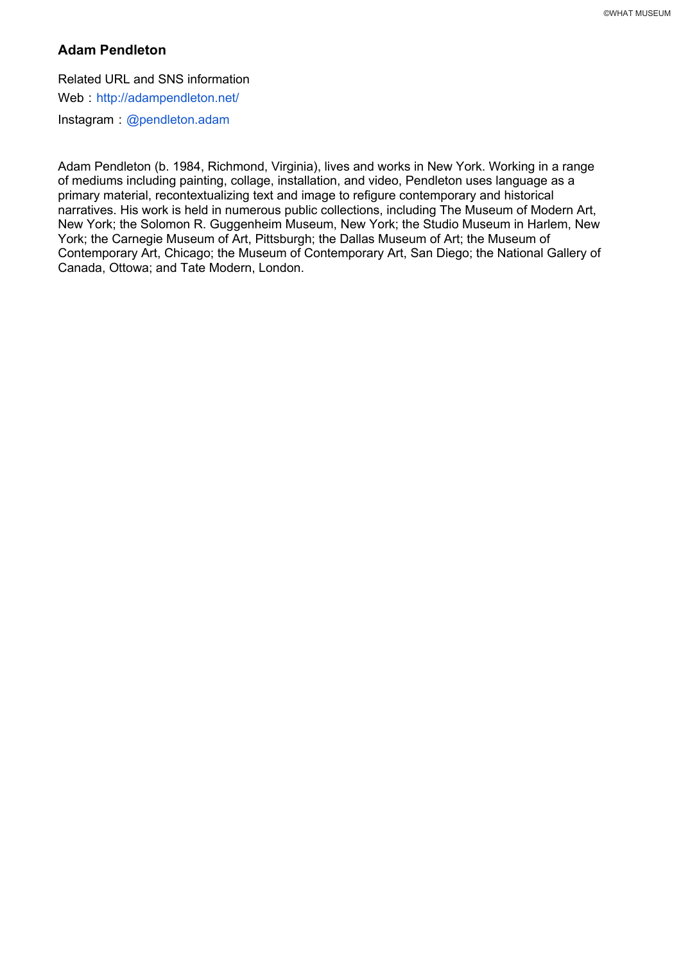# **Adam Pendleton**

Related URL and SNS information Web : http://adampendleton.net/ Instagram : @pendleton.adam

Adam Pendleton (b. 1984, Richmond, Virginia), lives and works in New York. Working in a range of mediums including painting, collage, installation, and video, Pendleton uses language as a primary material, recontextualizing text and image to refigure contemporary and historical narratives. His work is held in numerous public collections, including The Museum of Modern Art, New York; the Solomon R. Guggenheim Museum, New York; the Studio Museum in Harlem, New York; the Carnegie Museum of Art, Pittsburgh; the Dallas Museum of Art; the Museum of Contemporary Art, Chicago; the Museum of Contemporary Art, San Diego; the National Gallery of Canada, Ottowa; and Tate Modern, London.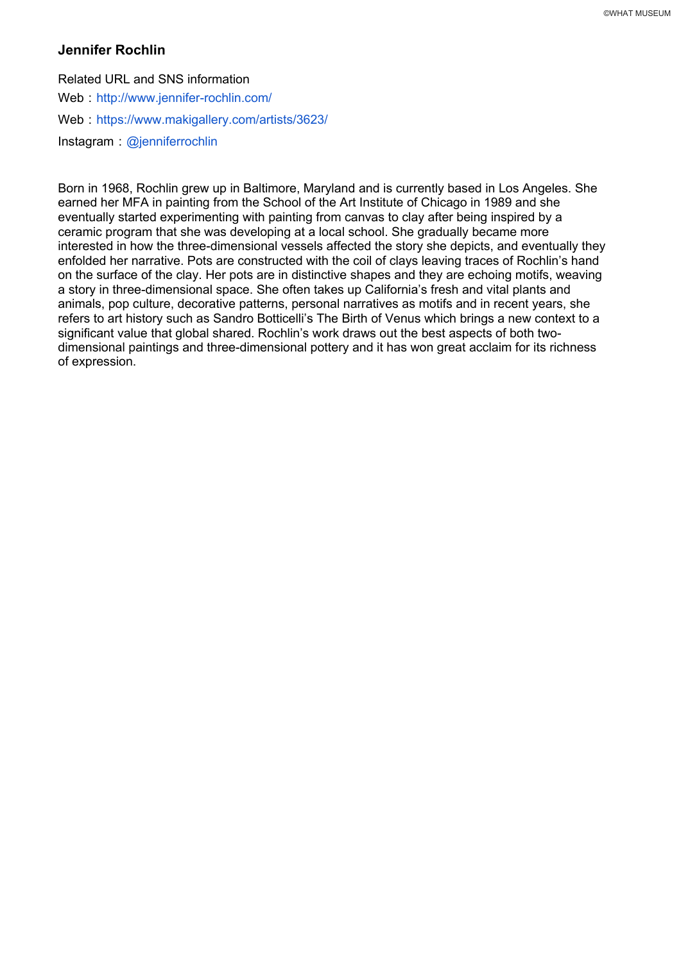#### **Jennifer Rochlin**

Related URL and SNS information Web : http://www.jennifer-rochlin.com/ Web: https://www.makigallery.com/artists/3623/

Instagram : @jenniferrochlin

Born in 1968, Rochlin grew up in Baltimore, Maryland and is currently based in Los Angeles. She earned her MFA in painting from the School of the Art Institute of Chicago in 1989 and she eventually started experimenting with painting from canvas to clay after being inspired by a ceramic program that she was developing at a local school. She gradually became more interested in how the three-dimensional vessels affected the story she depicts, and eventually they enfolded her narrative. Pots are constructed with the coil of clays leaving traces of Rochlin's hand on the surface of the clay. Her pots are in distinctive shapes and they are echoing motifs, weaving a story in three-dimensional space. She often takes up California's fresh and vital plants and animals, pop culture, decorative patterns, personal narratives as motifs and in recent years, she refers to art history such as Sandro Botticelli's The Birth of Venus which brings a new context to a significant value that global shared. Rochlin's work draws out the best aspects of both twodimensional paintings and three-dimensional pottery and it has won great acclaim for its richness of expression.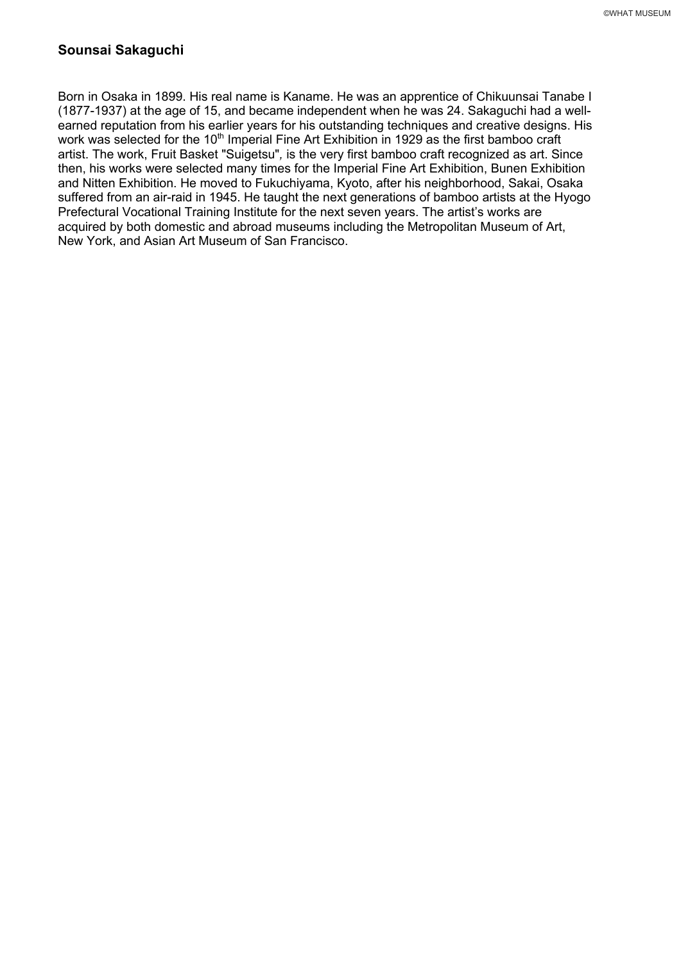# **Sounsai Sakaguchi**

Born in Osaka in 1899. His real name is Kaname. He was an apprentice of Chikuunsai Tanabe I (1877-1937) at the age of 15, and became independent when he was 24. Sakaguchi had a wellearned reputation from his earlier years for his outstanding techniques and creative designs. His work was selected for the 10<sup>th</sup> Imperial Fine Art Exhibition in 1929 as the first bamboo craft artist. The work, Fruit Basket "Suigetsu"*,* is the very first bamboo craft recognized as art. Since then, his works were selected many times for the Imperial Fine Art Exhibition, Bunen Exhibition and Nitten Exhibition. He moved to Fukuchiyama, Kyoto, after his neighborhood, Sakai, Osaka suffered from an air-raid in 1945. He taught the next generations of bamboo artists at the Hyogo Prefectural Vocational Training Institute for the next seven years. The artist's works are acquired by both domestic and abroad museums including the Metropolitan Museum of Art, New York, and Asian Art Museum of San Francisco.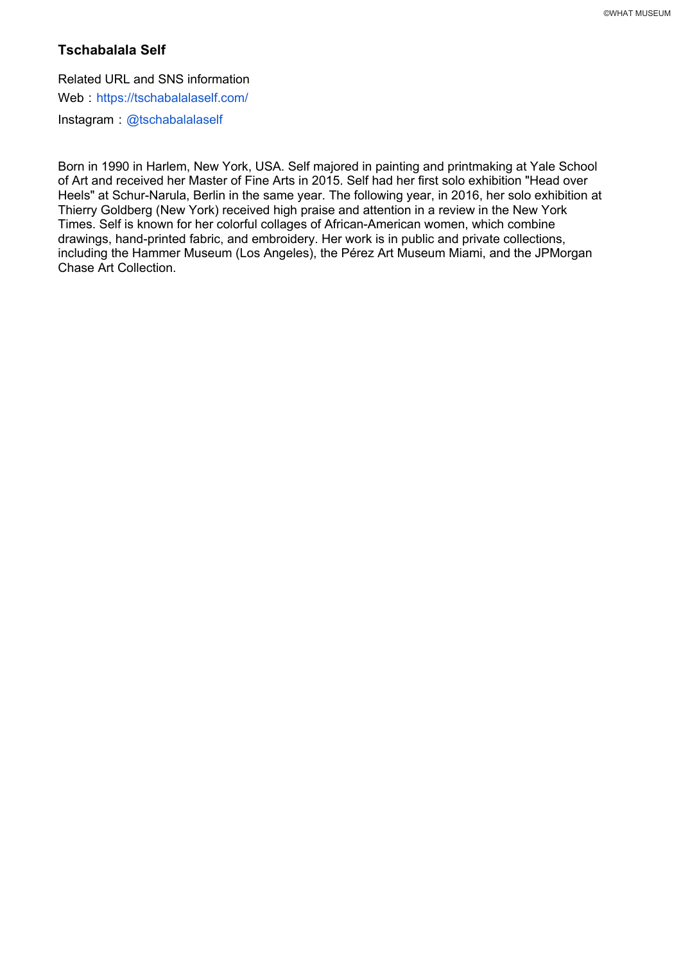## **Tschabalala Self**

Related URL and SNS information

Web https://tschabalalaself.com/

Instagram @tschabalalaself

Born in 1990 in Harlem, New York, USA. Self majored in painting and printmaking at Yale School of Art and received her Master of Fine Arts in 2015. Self had her first solo exhibition "Head over Heels" at Schur-Narula, Berlin in the same year. The following year, in 2016, her solo exhibition at Thierry Goldberg (New York) received high praise and attention in a review in the New York Times. Self is known for her colorful collages of African-American women, which combine drawings, hand-printed fabric, and embroidery. Her work is in public and private collections, including the Hammer Museum (Los Angeles), the Pérez Art Museum Miami, and the JPMorgan Chase Art Collection.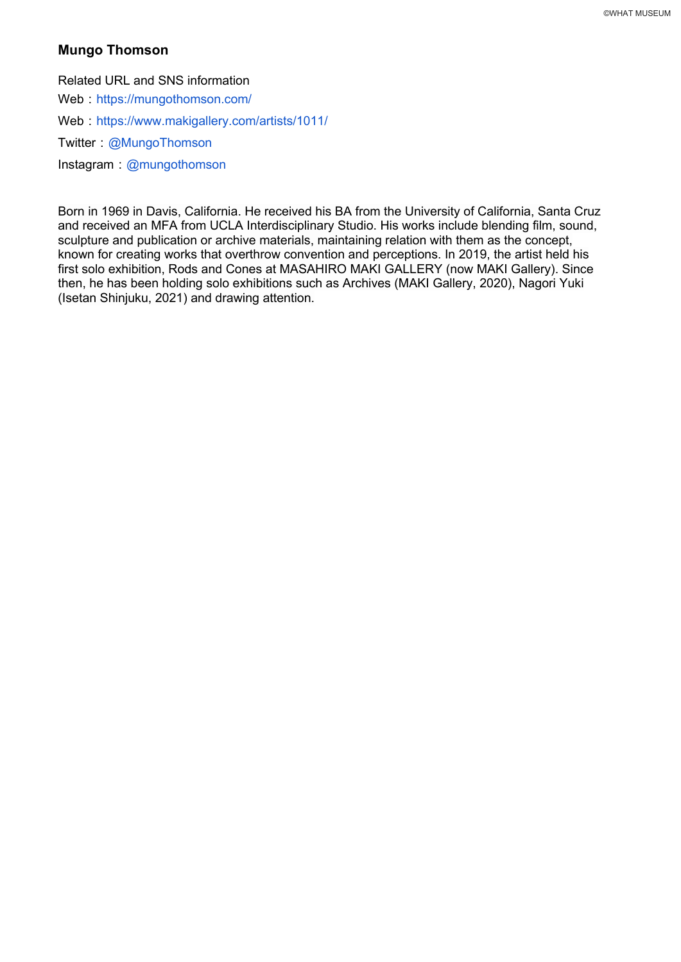# **Mungo Thomson**

Related URL and SNS information

Web : https://mungothomson.com/

Web: https://www.makigallery.com/artists/1011/

Twitter: @MungoThomson

 $Instant:$  @mungothomson

Born in 1969 in Davis, California. He received his BA from the University of California, Santa Cruz and received an MFA from UCLA Interdisciplinary Studio. His works include blending film, sound, sculpture and publication or archive materials, maintaining relation with them as the concept, known for creating works that overthrow convention and perceptions. In 2019, the artist held his first solo exhibition, Rods and Cones at MASAHIRO MAKI GALLERY (now MAKI Gallery). Since then, he has been holding solo exhibitions such as Archives (MAKI Gallery, 2020), Nagori Yuki (Isetan Shinjuku, 2021) and drawing attention.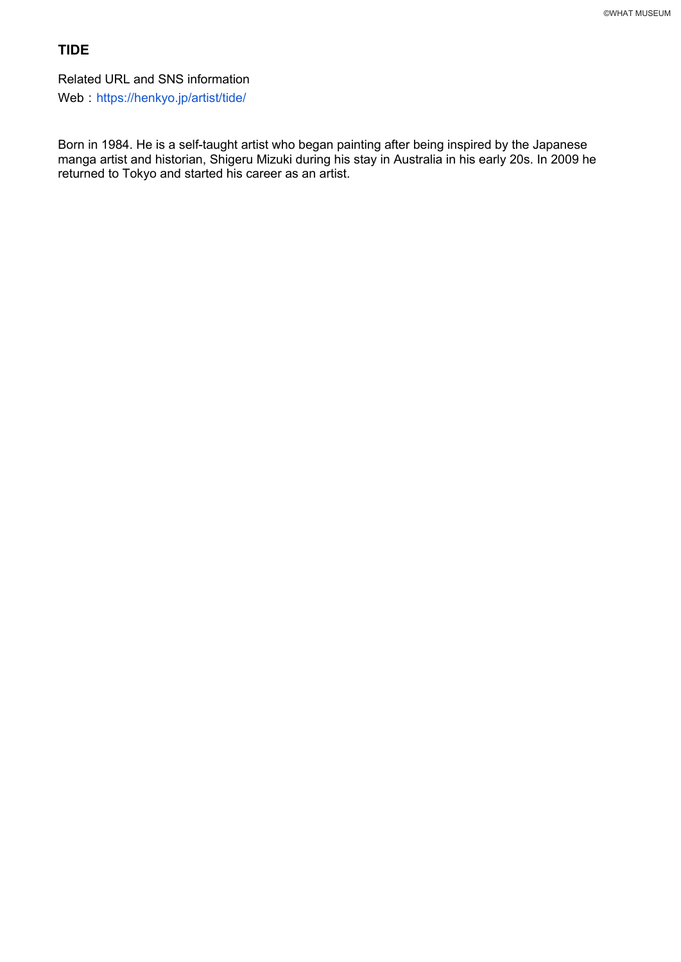# **TIDE**

Related URL and SNS information

Web: https://henkyo.jp/artist/tide/

Born in 1984. He is a self-taught artist who began painting after being inspired by the Japanese manga artist and historian, Shigeru Mizuki during his stay in Australia in his early 20s. In 2009 he returned to Tokyo and started his career as an artist.